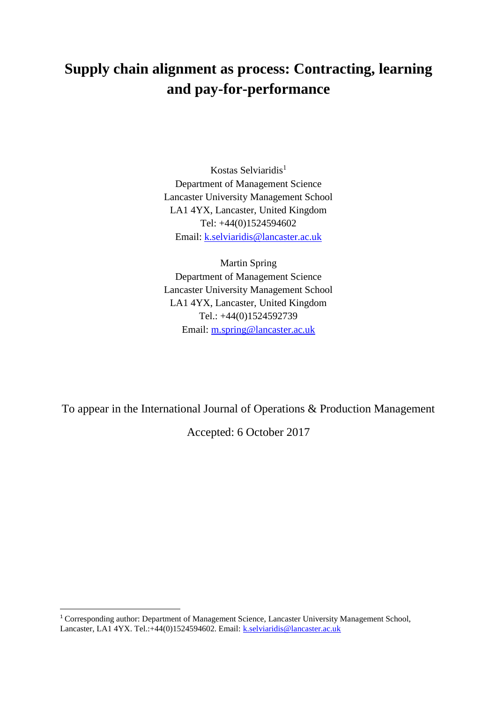# **Supply chain alignment as process: Contracting, learning and pay-for-performance**

Kostas Selviaridis<sup>1</sup> Department of Management Science Lancaster University Management School LA1 4YX, Lancaster, United Kingdom Tel: +44(0)1524594602 Email: [k.selviaridis@lancaster.ac.uk](mailto:k.selviaridis@lancaster.ac.uk)

Martin Spring Department of Management Science Lancaster University Management School LA1 4YX, Lancaster, United Kingdom Tel.: +44(0)1524592739 Email: [m.spring@lancaster.ac.uk](mailto:m.spring@lancaster.ac.uk)

To appear in the International Journal of Operations & Production Management

Accepted: 6 October 2017

**.** 

<sup>1</sup> Corresponding author: Department of Management Science, Lancaster University Management School, Lancaster, LA1 4YX. Tel.:+44(0)1524594602. Email: [k.selviaridis@lancaster.ac.uk](mailto:k.selviaridis@lancaster.ac.uk)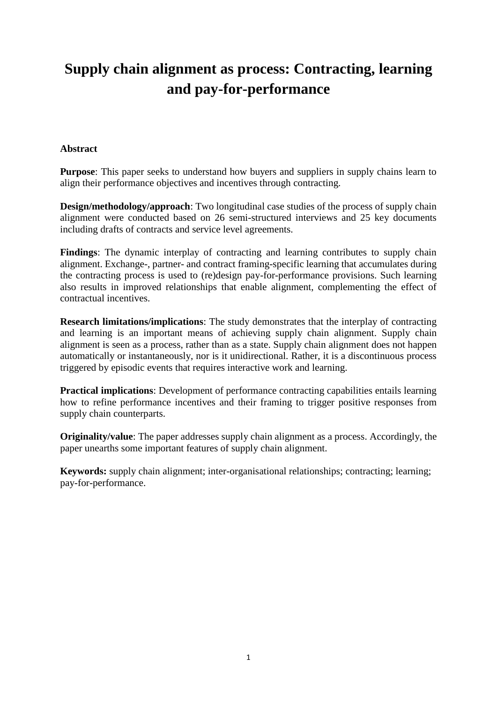# **Supply chain alignment as process: Contracting, learning and pay-for-performance**

# **Abstract**

**Purpose**: This paper seeks to understand how buyers and suppliers in supply chains learn to align their performance objectives and incentives through contracting.

**Design/methodology/approach**: Two longitudinal case studies of the process of supply chain alignment were conducted based on 26 semi-structured interviews and 25 key documents including drafts of contracts and service level agreements.

**Findings**: The dynamic interplay of contracting and learning contributes to supply chain alignment. Exchange-, partner- and contract framing-specific learning that accumulates during the contracting process is used to (re)design pay-for-performance provisions. Such learning also results in improved relationships that enable alignment, complementing the effect of contractual incentives.

**Research limitations/implications**: The study demonstrates that the interplay of contracting and learning is an important means of achieving supply chain alignment. Supply chain alignment is seen as a process, rather than as a state. Supply chain alignment does not happen automatically or instantaneously, nor is it unidirectional. Rather, it is a discontinuous process triggered by episodic events that requires interactive work and learning.

**Practical implications**: Development of performance contracting capabilities entails learning how to refine performance incentives and their framing to trigger positive responses from supply chain counterparts.

**Originality/value**: The paper addresses supply chain alignment as a process. Accordingly, the paper unearths some important features of supply chain alignment.

**Keywords:** supply chain alignment; inter-organisational relationships; contracting; learning; pay-for-performance.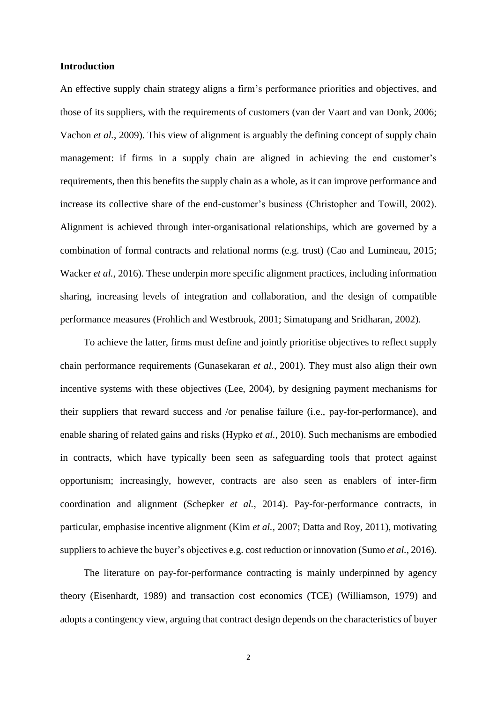## **Introduction**

An effective supply chain strategy aligns a firm's performance priorities and objectives, and those of its suppliers, with the requirements of customers (van der Vaart and van Donk, 2006; Vachon *et al.*, 2009). This view of alignment is arguably the defining concept of supply chain management: if firms in a supply chain are aligned in achieving the end customer's requirements, then this benefits the supply chain as a whole, as it can improve performance and increase its collective share of the end-customer's business (Christopher and Towill, 2002). Alignment is achieved through inter-organisational relationships, which are governed by a combination of formal contracts and relational norms (e.g. trust) (Cao and Lumineau, 2015; Wacker *et al.*, 2016). These underpin more specific alignment practices, including information sharing, increasing levels of integration and collaboration, and the design of compatible performance measures (Frohlich and Westbrook, 2001; Simatupang and Sridharan, 2002).

To achieve the latter, firms must define and jointly prioritise objectives to reflect supply chain performance requirements (Gunasekaran *et al.*, 2001). They must also align their own incentive systems with these objectives (Lee, 2004), by designing payment mechanisms for their suppliers that reward success and /or penalise failure (i.e., pay-for-performance), and enable sharing of related gains and risks (Hypko *et al.*, 2010). Such mechanisms are embodied in contracts, which have typically been seen as safeguarding tools that protect against opportunism; increasingly, however, contracts are also seen as enablers of inter-firm coordination and alignment (Schepker *et al.*, 2014). Pay-for-performance contracts, in particular, emphasise incentive alignment (Kim *et al.*, 2007; Datta and Roy, 2011), motivating suppliers to achieve the buyer's objectives e.g. cost reduction or innovation (Sumo *et al.*, 2016).

The literature on pay-for-performance contracting is mainly underpinned by agency theory (Eisenhardt, 1989) and transaction cost economics (TCE) (Williamson, 1979) and adopts a contingency view, arguing that contract design depends on the characteristics of buyer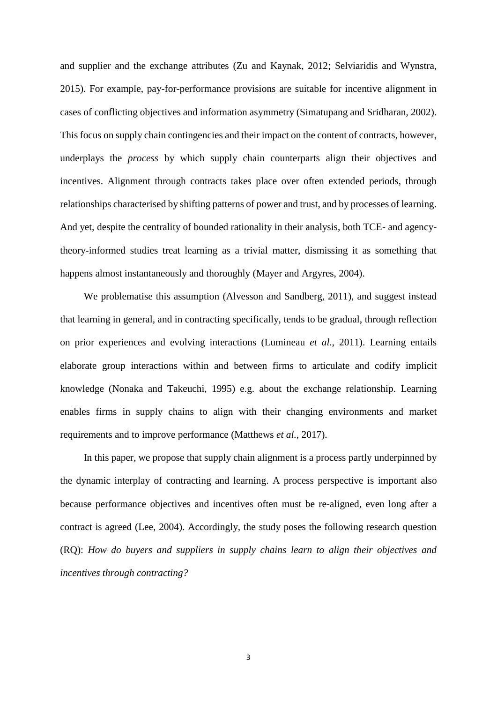and supplier and the exchange attributes (Zu and Kaynak, 2012; Selviaridis and Wynstra, 2015). For example, pay-for-performance provisions are suitable for incentive alignment in cases of conflicting objectives and information asymmetry (Simatupang and Sridharan, 2002). This focus on supply chain contingencies and their impact on the content of contracts, however, underplays the *process* by which supply chain counterparts align their objectives and incentives. Alignment through contracts takes place over often extended periods, through relationships characterised by shifting patterns of power and trust, and by processes of learning. And yet, despite the centrality of bounded rationality in their analysis, both TCE- and agencytheory-informed studies treat learning as a trivial matter, dismissing it as something that happens almost instantaneously and thoroughly (Mayer and Argyres, 2004).

We problematise this assumption (Alvesson and Sandberg, 2011), and suggest instead that learning in general, and in contracting specifically, tends to be gradual, through reflection on prior experiences and evolving interactions (Lumineau *et al.*, 2011). Learning entails elaborate group interactions within and between firms to articulate and codify implicit knowledge (Nonaka and Takeuchi, 1995) e.g. about the exchange relationship. Learning enables firms in supply chains to align with their changing environments and market requirements and to improve performance (Matthews *et al.*, 2017).

In this paper, we propose that supply chain alignment is a process partly underpinned by the dynamic interplay of contracting and learning. A process perspective is important also because performance objectives and incentives often must be re-aligned, even long after a contract is agreed (Lee, 2004). Accordingly, the study poses the following research question (RQ): *How do buyers and suppliers in supply chains learn to align their objectives and incentives through contracting?*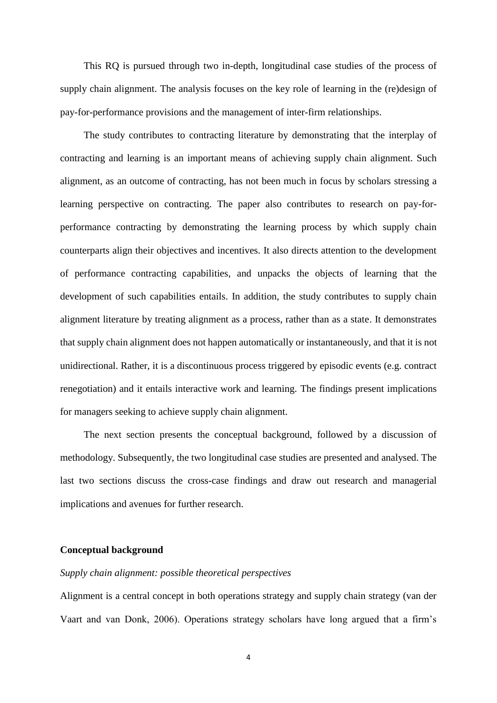This RQ is pursued through two in-depth, longitudinal case studies of the process of supply chain alignment. The analysis focuses on the key role of learning in the (re)design of pay-for-performance provisions and the management of inter-firm relationships.

The study contributes to contracting literature by demonstrating that the interplay of contracting and learning is an important means of achieving supply chain alignment. Such alignment, as an outcome of contracting, has not been much in focus by scholars stressing a learning perspective on contracting. The paper also contributes to research on pay-forperformance contracting by demonstrating the learning process by which supply chain counterparts align their objectives and incentives. It also directs attention to the development of performance contracting capabilities, and unpacks the objects of learning that the development of such capabilities entails. In addition, the study contributes to supply chain alignment literature by treating alignment as a process, rather than as a state. It demonstrates that supply chain alignment does not happen automatically or instantaneously, and that it is not unidirectional. Rather, it is a discontinuous process triggered by episodic events (e.g. contract renegotiation) and it entails interactive work and learning. The findings present implications for managers seeking to achieve supply chain alignment.

The next section presents the conceptual background, followed by a discussion of methodology. Subsequently, the two longitudinal case studies are presented and analysed. The last two sections discuss the cross-case findings and draw out research and managerial implications and avenues for further research.

# **Conceptual background**

# *Supply chain alignment: possible theoretical perspectives*

Alignment is a central concept in both operations strategy and supply chain strategy (van der Vaart and van Donk, 2006). Operations strategy scholars have long argued that a firm's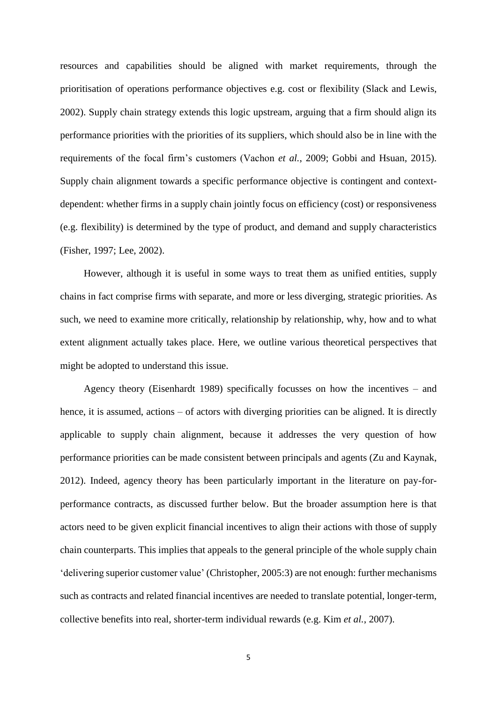resources and capabilities should be aligned with market requirements, through the prioritisation of operations performance objectives e.g. cost or flexibility (Slack and Lewis, 2002). Supply chain strategy extends this logic upstream, arguing that a firm should align its performance priorities with the priorities of its suppliers, which should also be in line with the requirements of the focal firm's customers (Vachon *et al.*, 2009; Gobbi and Hsuan, 2015). Supply chain alignment towards a specific performance objective is contingent and contextdependent: whether firms in a supply chain jointly focus on efficiency (cost) or responsiveness (e.g. flexibility) is determined by the type of product, and demand and supply characteristics (Fisher, 1997; Lee, 2002).

However, although it is useful in some ways to treat them as unified entities, supply chains in fact comprise firms with separate, and more or less diverging, strategic priorities. As such, we need to examine more critically, relationship by relationship, why, how and to what extent alignment actually takes place. Here, we outline various theoretical perspectives that might be adopted to understand this issue.

Agency theory (Eisenhardt 1989) specifically focusses on how the incentives – and hence, it is assumed, actions – of actors with diverging priorities can be aligned. It is directly applicable to supply chain alignment, because it addresses the very question of how performance priorities can be made consistent between principals and agents (Zu and Kaynak, 2012). Indeed, agency theory has been particularly important in the literature on pay-forperformance contracts, as discussed further below. But the broader assumption here is that actors need to be given explicit financial incentives to align their actions with those of supply chain counterparts. This implies that appeals to the general principle of the whole supply chain 'delivering superior customer value' (Christopher, 2005:3) are not enough: further mechanisms such as contracts and related financial incentives are needed to translate potential, longer-term, collective benefits into real, shorter-term individual rewards (e.g. Kim *et al.*, 2007).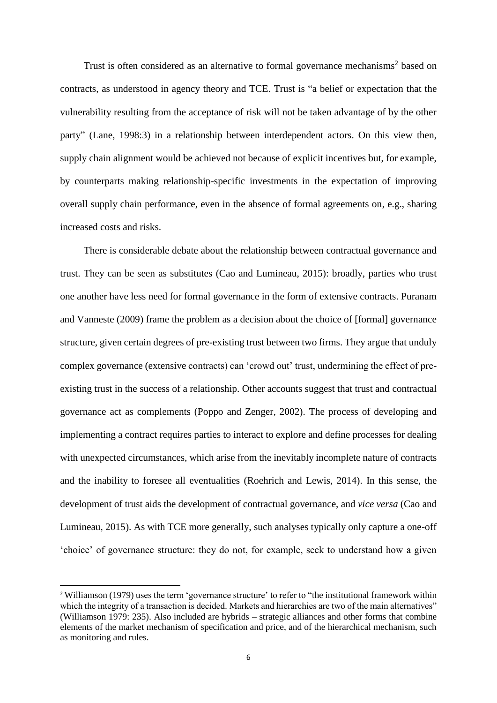Trust is often considered as an alternative to formal governance mechanisms<sup>2</sup> based on contracts, as understood in agency theory and TCE. Trust is "a belief or expectation that the vulnerability resulting from the acceptance of risk will not be taken advantage of by the other party" (Lane, 1998:3) in a relationship between interdependent actors. On this view then, supply chain alignment would be achieved not because of explicit incentives but, for example, by counterparts making relationship-specific investments in the expectation of improving overall supply chain performance, even in the absence of formal agreements on, e.g., sharing increased costs and risks.

There is considerable debate about the relationship between contractual governance and trust. They can be seen as substitutes (Cao and Lumineau, 2015): broadly, parties who trust one another have less need for formal governance in the form of extensive contracts. Puranam and Vanneste (2009) frame the problem as a decision about the choice of [formal] governance structure, given certain degrees of pre-existing trust between two firms. They argue that unduly complex governance (extensive contracts) can 'crowd out' trust, undermining the effect of preexisting trust in the success of a relationship. Other accounts suggest that trust and contractual governance act as complements (Poppo and Zenger, 2002). The process of developing and implementing a contract requires parties to interact to explore and define processes for dealing with unexpected circumstances, which arise from the inevitably incomplete nature of contracts and the inability to foresee all eventualities (Roehrich and Lewis, 2014). In this sense, the development of trust aids the development of contractual governance, and *vice versa* (Cao and Lumineau, 2015). As with TCE more generally, such analyses typically only capture a one-off 'choice' of governance structure: they do not, for example, seek to understand how a given

**.** 

<sup>2</sup> Williamson (1979) uses the term 'governance structure' to refer to "the institutional framework within which the integrity of a transaction is decided. Markets and hierarchies are two of the main alternatives" (Williamson 1979: 235). Also included are hybrids – strategic alliances and other forms that combine elements of the market mechanism of specification and price, and of the hierarchical mechanism, such as monitoring and rules.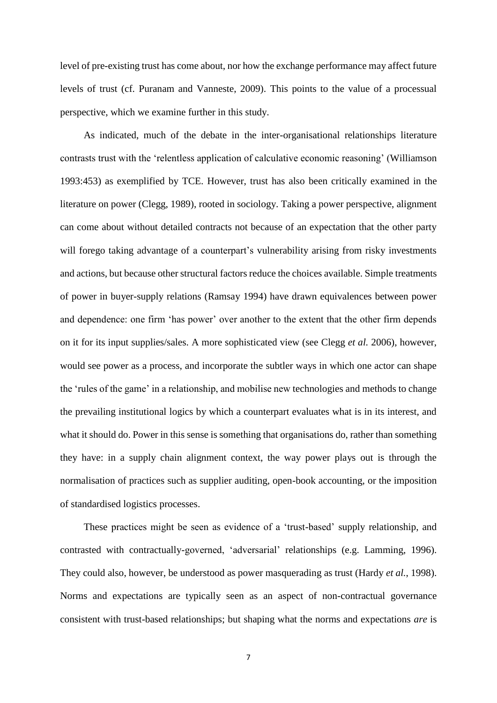level of pre-existing trust has come about, nor how the exchange performance may affect future levels of trust (cf. Puranam and Vanneste, 2009). This points to the value of a processual perspective, which we examine further in this study.

As indicated, much of the debate in the inter-organisational relationships literature contrasts trust with the 'relentless application of calculative economic reasoning' (Williamson 1993:453) as exemplified by TCE. However, trust has also been critically examined in the literature on power (Clegg, 1989), rooted in sociology. Taking a power perspective, alignment can come about without detailed contracts not because of an expectation that the other party will forego taking advantage of a counterpart's vulnerability arising from risky investments and actions, but because other structural factors reduce the choices available. Simple treatments of power in buyer-supply relations (Ramsay 1994) have drawn equivalences between power and dependence: one firm 'has power' over another to the extent that the other firm depends on it for its input supplies/sales. A more sophisticated view (see Clegg *et al.* 2006), however, would see power as a process, and incorporate the subtler ways in which one actor can shape the 'rules of the game' in a relationship, and mobilise new technologies and methods to change the prevailing institutional logics by which a counterpart evaluates what is in its interest, and what it should do. Power in this sense is something that organisations do, rather than something they have: in a supply chain alignment context, the way power plays out is through the normalisation of practices such as supplier auditing, open-book accounting, or the imposition of standardised logistics processes.

These practices might be seen as evidence of a 'trust-based' supply relationship, and contrasted with contractually-governed, 'adversarial' relationships (e.g. Lamming, 1996). They could also, however, be understood as power masquerading as trust (Hardy *et al.*, 1998). Norms and expectations are typically seen as an aspect of non-contractual governance consistent with trust-based relationships; but shaping what the norms and expectations *are* is

7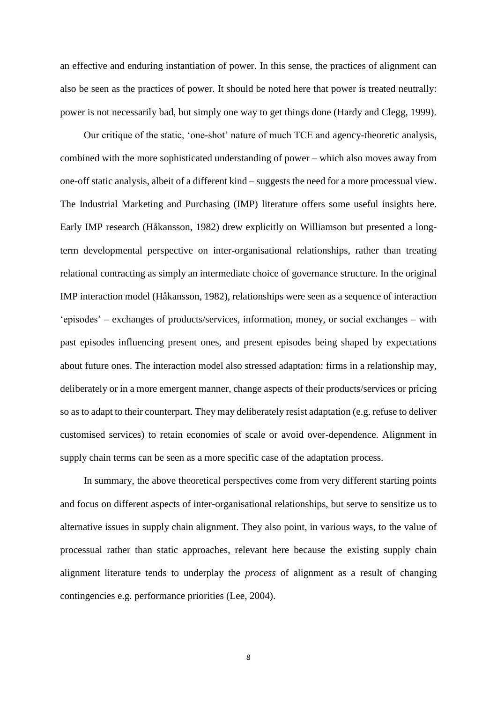an effective and enduring instantiation of power. In this sense, the practices of alignment can also be seen as the practices of power. It should be noted here that power is treated neutrally: power is not necessarily bad, but simply one way to get things done (Hardy and Clegg, 1999).

Our critique of the static, 'one-shot' nature of much TCE and agency-theoretic analysis, combined with the more sophisticated understanding of power – which also moves away from one-off static analysis, albeit of a different kind – suggests the need for a more processual view. The Industrial Marketing and Purchasing (IMP) literature offers some useful insights here. Early IMP research (Håkansson, 1982) drew explicitly on Williamson but presented a longterm developmental perspective on inter-organisational relationships, rather than treating relational contracting as simply an intermediate choice of governance structure. In the original IMP interaction model (Håkansson, 1982), relationships were seen as a sequence of interaction 'episodes' – exchanges of products/services, information, money, or social exchanges – with past episodes influencing present ones, and present episodes being shaped by expectations about future ones. The interaction model also stressed adaptation: firms in a relationship may, deliberately or in a more emergent manner, change aspects of their products/services or pricing so as to adapt to their counterpart. They may deliberately resist adaptation (e.g. refuse to deliver customised services) to retain economies of scale or avoid over-dependence. Alignment in supply chain terms can be seen as a more specific case of the adaptation process.

In summary, the above theoretical perspectives come from very different starting points and focus on different aspects of inter-organisational relationships, but serve to sensitize us to alternative issues in supply chain alignment. They also point, in various ways, to the value of processual rather than static approaches, relevant here because the existing supply chain alignment literature tends to underplay the *process* of alignment as a result of changing contingencies e.g. performance priorities (Lee, 2004).

8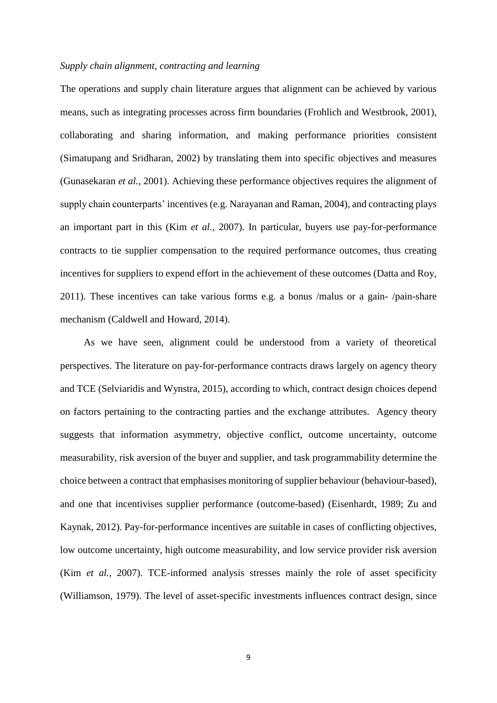# *Supply chain alignment, contracting and learning*

The operations and supply chain literature argues that alignment can be achieved by various means, such as integrating processes across firm boundaries (Frohlich and Westbrook, 2001), collaborating and sharing information, and making performance priorities consistent (Simatupang and Sridharan, 2002) by translating them into specific objectives and measures (Gunasekaran *et al.*, 2001). Achieving these performance objectives requires the alignment of supply chain counterparts' incentives (e.g. Narayanan and Raman, 2004), and contracting plays an important part in this (Kim *et al.*, 2007). In particular, buyers use pay-for-performance contracts to tie supplier compensation to the required performance outcomes, thus creating incentives for suppliers to expend effort in the achievement of these outcomes (Datta and Roy, 2011). These incentives can take various forms e.g. a bonus /malus or a gain- /pain-share mechanism (Caldwell and Howard, 2014).

As we have seen, alignment could be understood from a variety of theoretical perspectives. The literature on pay-for-performance contracts draws largely on agency theory and TCE (Selviaridis and Wynstra, 2015), according to which, contract design choices depend on factors pertaining to the contracting parties and the exchange attributes. Agency theory suggests that information asymmetry, objective conflict, outcome uncertainty, outcome measurability, risk aversion of the buyer and supplier, and task programmability determine the choice between a contract that emphasises monitoring of supplier behaviour (behaviour-based), and one that incentivises supplier performance (outcome-based) (Eisenhardt, 1989; Zu and Kaynak, 2012). Pay-for-performance incentives are suitable in cases of conflicting objectives, low outcome uncertainty, high outcome measurability, and low service provider risk aversion (Kim *et al.*, 2007). TCE-informed analysis stresses mainly the role of asset specificity (Williamson, 1979). The level of asset-specific investments influences contract design, since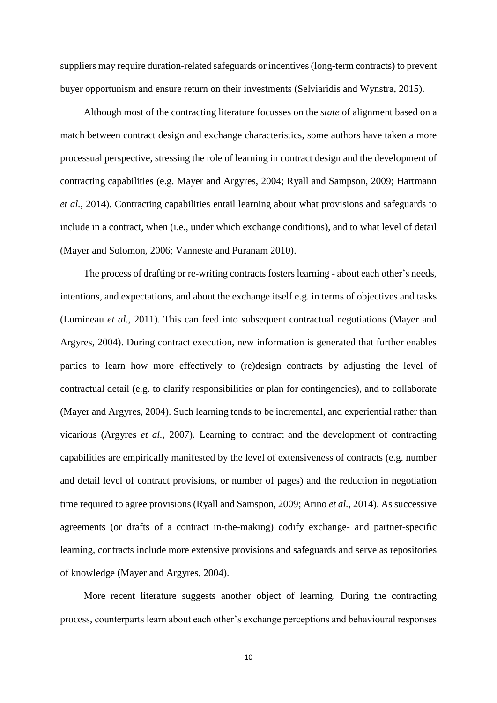suppliers may require duration-related safeguards or incentives (long-term contracts) to prevent buyer opportunism and ensure return on their investments (Selviaridis and Wynstra, 2015).

Although most of the contracting literature focusses on the *state* of alignment based on a match between contract design and exchange characteristics, some authors have taken a more processual perspective, stressing the role of learning in contract design and the development of contracting capabilities (e.g. Mayer and Argyres, 2004; Ryall and Sampson, 2009; Hartmann *et al.*, 2014). Contracting capabilities entail learning about what provisions and safeguards to include in a contract, when (i.e., under which exchange conditions), and to what level of detail (Mayer and Solomon, 2006; Vanneste and Puranam 2010).

The process of drafting or re-writing contracts fosters learning - about each other's needs, intentions, and expectations, and about the exchange itself e.g. in terms of objectives and tasks (Lumineau *et al.*, 2011). This can feed into subsequent contractual negotiations (Mayer and Argyres, 2004). During contract execution, new information is generated that further enables parties to learn how more effectively to (re)design contracts by adjusting the level of contractual detail (e.g. to clarify responsibilities or plan for contingencies), and to collaborate (Mayer and Argyres, 2004). Such learning tends to be incremental, and experiential rather than vicarious (Argyres *et al.*, 2007). Learning to contract and the development of contracting capabilities are empirically manifested by the level of extensiveness of contracts (e.g. number and detail level of contract provisions, or number of pages) and the reduction in negotiation time required to agree provisions (Ryall and Samspon, 2009; Arino *et al.*, 2014). As successive agreements (or drafts of a contract in-the-making) codify exchange- and partner-specific learning, contracts include more extensive provisions and safeguards and serve as repositories of knowledge (Mayer and Argyres, 2004).

More recent literature suggests another object of learning. During the contracting process, counterparts learn about each other's exchange perceptions and behavioural responses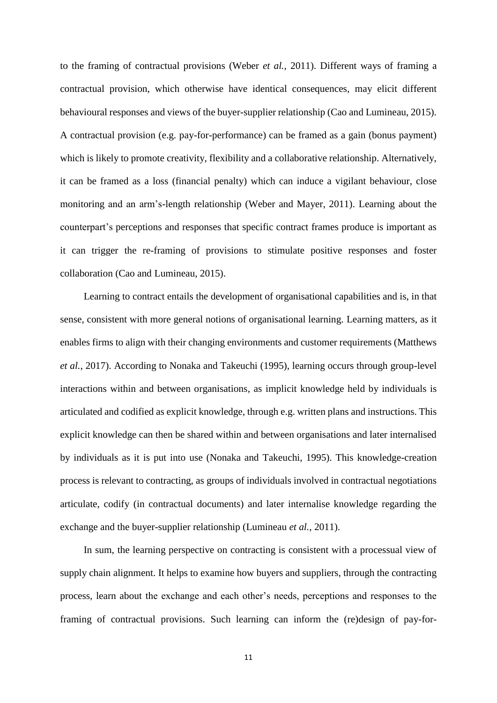to the framing of contractual provisions (Weber *et al.*, 2011). Different ways of framing a contractual provision, which otherwise have identical consequences, may elicit different behavioural responses and views of the buyer-supplier relationship (Cao and Lumineau, 2015). A contractual provision (e.g. pay-for-performance) can be framed as a gain (bonus payment) which is likely to promote creativity, flexibility and a collaborative relationship. Alternatively, it can be framed as a loss (financial penalty) which can induce a vigilant behaviour, close monitoring and an arm's-length relationship (Weber and Mayer, 2011). Learning about the counterpart's perceptions and responses that specific contract frames produce is important as it can trigger the re-framing of provisions to stimulate positive responses and foster collaboration (Cao and Lumineau, 2015).

Learning to contract entails the development of organisational capabilities and is, in that sense, consistent with more general notions of organisational learning. Learning matters, as it enables firms to align with their changing environments and customer requirements (Matthews *et al.*, 2017). According to Nonaka and Takeuchi (1995), learning occurs through group-level interactions within and between organisations, as implicit knowledge held by individuals is articulated and codified as explicit knowledge, through e.g. written plans and instructions. This explicit knowledge can then be shared within and between organisations and later internalised by individuals as it is put into use (Nonaka and Takeuchi, 1995). This knowledge-creation process is relevant to contracting, as groups of individuals involved in contractual negotiations articulate, codify (in contractual documents) and later internalise knowledge regarding the exchange and the buyer-supplier relationship (Lumineau *et al.*, 2011).

In sum, the learning perspective on contracting is consistent with a processual view of supply chain alignment. It helps to examine how buyers and suppliers, through the contracting process, learn about the exchange and each other's needs, perceptions and responses to the framing of contractual provisions. Such learning can inform the (re)design of pay-for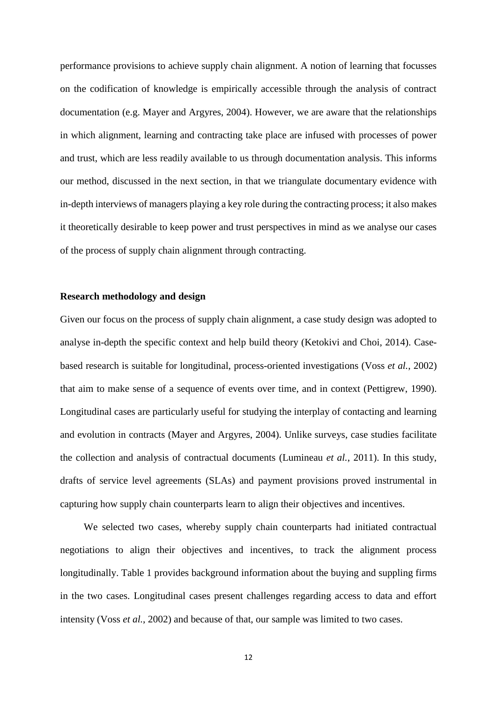performance provisions to achieve supply chain alignment. A notion of learning that focusses on the codification of knowledge is empirically accessible through the analysis of contract documentation (e.g. Mayer and Argyres, 2004). However, we are aware that the relationships in which alignment, learning and contracting take place are infused with processes of power and trust, which are less readily available to us through documentation analysis. This informs our method, discussed in the next section, in that we triangulate documentary evidence with in-depth interviews of managers playing a key role during the contracting process; it also makes it theoretically desirable to keep power and trust perspectives in mind as we analyse our cases of the process of supply chain alignment through contracting.

# **Research methodology and design**

Given our focus on the process of supply chain alignment, a case study design was adopted to analyse in-depth the specific context and help build theory (Ketokivi and Choi, 2014). Casebased research is suitable for longitudinal, process-oriented investigations (Voss *et al.*, 2002) that aim to make sense of a sequence of events over time, and in context (Pettigrew, 1990). Longitudinal cases are particularly useful for studying the interplay of contacting and learning and evolution in contracts (Mayer and Argyres, 2004). Unlike surveys, case studies facilitate the collection and analysis of contractual documents (Lumineau *et al.*, 2011). In this study, drafts of service level agreements (SLAs) and payment provisions proved instrumental in capturing how supply chain counterparts learn to align their objectives and incentives.

We selected two cases, whereby supply chain counterparts had initiated contractual negotiations to align their objectives and incentives, to track the alignment process longitudinally. Table 1 provides background information about the buying and suppling firms in the two cases. Longitudinal cases present challenges regarding access to data and effort intensity (Voss *et al.*, 2002) and because of that, our sample was limited to two cases.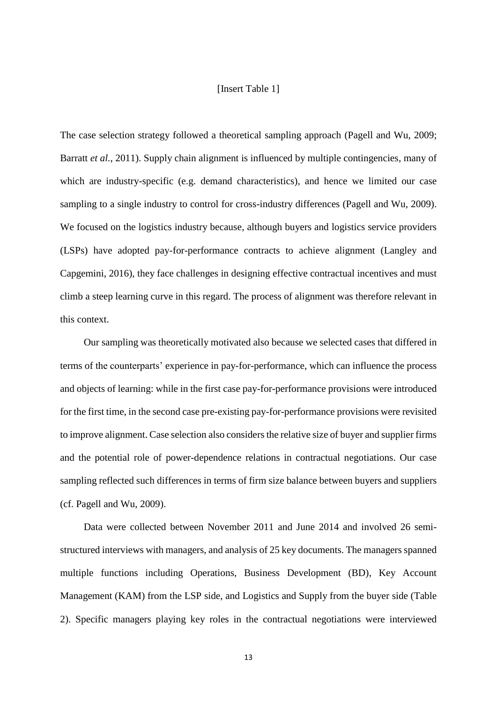# [Insert Table 1]

The case selection strategy followed a theoretical sampling approach (Pagell and Wu, 2009; Barratt *et al.*, 2011). Supply chain alignment is influenced by multiple contingencies, many of which are industry-specific (e.g. demand characteristics), and hence we limited our case sampling to a single industry to control for cross-industry differences (Pagell and Wu, 2009). We focused on the logistics industry because, although buyers and logistics service providers (LSPs) have adopted pay-for-performance contracts to achieve alignment (Langley and Capgemini, 2016), they face challenges in designing effective contractual incentives and must climb a steep learning curve in this regard. The process of alignment was therefore relevant in this context.

Our sampling was theoretically motivated also because we selected cases that differed in terms of the counterparts' experience in pay-for-performance, which can influence the process and objects of learning: while in the first case pay-for-performance provisions were introduced for the first time, in the second case pre-existing pay-for-performance provisions were revisited to improve alignment. Case selection also considers the relative size of buyer and supplier firms and the potential role of power-dependence relations in contractual negotiations. Our case sampling reflected such differences in terms of firm size balance between buyers and suppliers (cf. Pagell and Wu, 2009).

Data were collected between November 2011 and June 2014 and involved 26 semistructured interviews with managers, and analysis of 25 key documents. The managers spanned multiple functions including Operations, Business Development (BD), Key Account Management (KAM) from the LSP side, and Logistics and Supply from the buyer side (Table 2). Specific managers playing key roles in the contractual negotiations were interviewed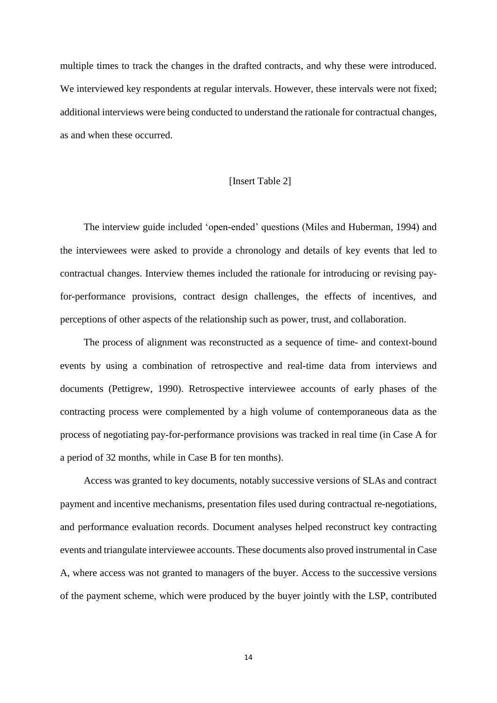multiple times to track the changes in the drafted contracts, and why these were introduced. We interviewed key respondents at regular intervals. However, these intervals were not fixed; additional interviews were being conducted to understand the rationale for contractual changes, as and when these occurred.

# [Insert Table 2]

The interview guide included 'open-ended' questions (Miles and Huberman, 1994) and the interviewees were asked to provide a chronology and details of key events that led to contractual changes. Interview themes included the rationale for introducing or revising payfor-performance provisions, contract design challenges, the effects of incentives, and perceptions of other aspects of the relationship such as power, trust, and collaboration.

The process of alignment was reconstructed as a sequence of time- and context-bound events by using a combination of retrospective and real-time data from interviews and documents (Pettigrew, 1990). Retrospective interviewee accounts of early phases of the contracting process were complemented by a high volume of contemporaneous data as the process of negotiating pay-for-performance provisions was tracked in real time (in Case A for a period of 32 months, while in Case B for ten months).

Access was granted to key documents, notably successive versions of SLAs and contract payment and incentive mechanisms, presentation files used during contractual re-negotiations, and performance evaluation records. Document analyses helped reconstruct key contracting events and triangulate interviewee accounts. These documents also proved instrumental in Case A, where access was not granted to managers of the buyer. Access to the successive versions of the payment scheme, which were produced by the buyer jointly with the LSP, contributed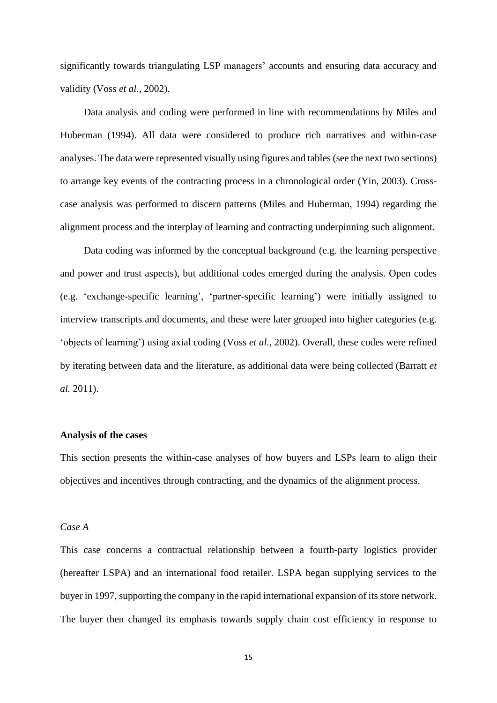significantly towards triangulating LSP managers' accounts and ensuring data accuracy and validity (Voss *et al.*, 2002).

Data analysis and coding were performed in line with recommendations by Miles and Huberman (1994). All data were considered to produce rich narratives and within-case analyses. The data were represented visually using figures and tables (see the next two sections) to arrange key events of the contracting process in a chronological order (Yin, 2003). Crosscase analysis was performed to discern patterns (Miles and Huberman, 1994) regarding the alignment process and the interplay of learning and contracting underpinning such alignment.

Data coding was informed by the conceptual background (e.g. the learning perspective and power and trust aspects), but additional codes emerged during the analysis. Open codes (e.g. 'exchange-specific learning', 'partner-specific learning') were initially assigned to interview transcripts and documents, and these were later grouped into higher categories (e.g. 'objects of learning') using axial coding (Voss *et al.*, 2002). Overall, these codes were refined by iterating between data and the literature, as additional data were being collected (Barratt *et al.* 2011).

# **Analysis of the cases**

This section presents the within-case analyses of how buyers and LSPs learn to align their objectives and incentives through contracting, and the dynamics of the alignment process.

# *Case A*

This case concerns a contractual relationship between a fourth-party logistics provider (hereafter LSPA) and an international food retailer. LSPA began supplying services to the buyer in 1997, supporting the company in the rapid international expansion of its store network. The buyer then changed its emphasis towards supply chain cost efficiency in response to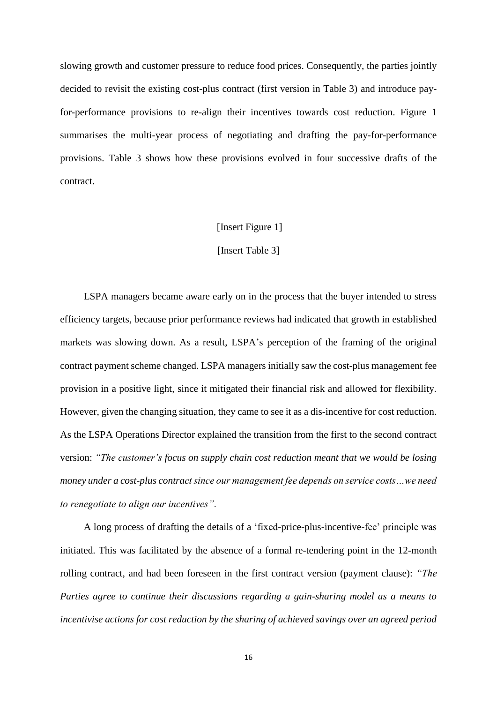slowing growth and customer pressure to reduce food prices. Consequently, the parties jointly decided to revisit the existing cost-plus contract (first version in Table 3) and introduce payfor-performance provisions to re-align their incentives towards cost reduction. Figure 1 summarises the multi-year process of negotiating and drafting the pay-for-performance provisions. Table 3 shows how these provisions evolved in four successive drafts of the contract.

## [Insert Figure 1]

#### [Insert Table 3]

LSPA managers became aware early on in the process that the buyer intended to stress efficiency targets, because prior performance reviews had indicated that growth in established markets was slowing down. As a result, LSPA's perception of the framing of the original contract payment scheme changed. LSPA managers initially saw the cost-plus management fee provision in a positive light, since it mitigated their financial risk and allowed for flexibility. However, given the changing situation, they came to see it as a dis-incentive for cost reduction. As the LSPA Operations Director explained the transition from the first to the second contract version: *"The customer's focus on supply chain cost reduction meant that we would be losing money under a cost-plus contract since our management fee depends on service costs…we need to renegotiate to align our incentives"*.

A long process of drafting the details of a 'fixed-price-plus-incentive-fee' principle was initiated. This was facilitated by the absence of a formal re-tendering point in the 12-month rolling contract, and had been foreseen in the first contract version (payment clause): *"The Parties agree to continue their discussions regarding a gain-sharing model as a means to incentivise actions for cost reduction by the sharing of achieved savings over an agreed period*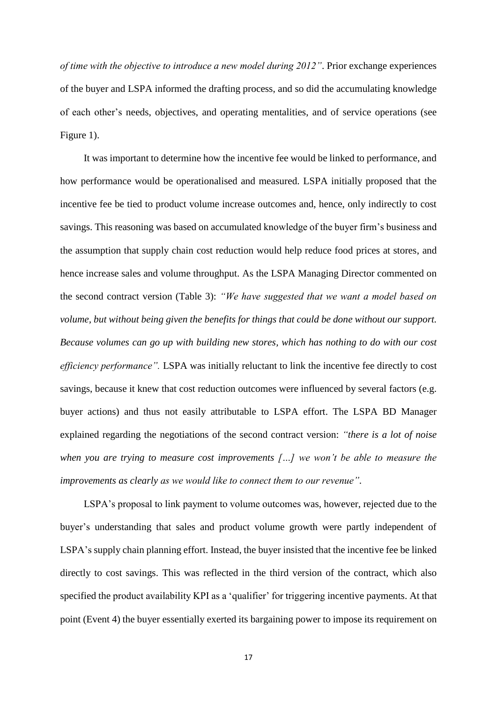*of time with the objective to introduce a new model during 2012"*. Prior exchange experiences of the buyer and LSPA informed the drafting process, and so did the accumulating knowledge of each other's needs, objectives, and operating mentalities, and of service operations (see Figure 1).

It was important to determine how the incentive fee would be linked to performance, and how performance would be operationalised and measured. LSPA initially proposed that the incentive fee be tied to product volume increase outcomes and, hence, only indirectly to cost savings. This reasoning was based on accumulated knowledge of the buyer firm's business and the assumption that supply chain cost reduction would help reduce food prices at stores, and hence increase sales and volume throughput. As the LSPA Managing Director commented on the second contract version (Table 3): *"We have suggested that we want a model based on volume, but without being given the benefits for things that could be done without our support. Because volumes can go up with building new stores, which has nothing to do with our cost efficiency performance".* LSPA was initially reluctant to link the incentive fee directly to cost savings, because it knew that cost reduction outcomes were influenced by several factors (e.g. buyer actions) and thus not easily attributable to LSPA effort. The LSPA BD Manager explained regarding the negotiations of the second contract version: *"there is a lot of noise when you are trying to measure cost improvements […] we won't be able to measure the improvements as clearly as we would like to connect them to our revenue".*

LSPA's proposal to link payment to volume outcomes was, however, rejected due to the buyer's understanding that sales and product volume growth were partly independent of LSPA's supply chain planning effort. Instead, the buyer insisted that the incentive fee be linked directly to cost savings. This was reflected in the third version of the contract, which also specified the product availability KPI as a 'qualifier' for triggering incentive payments. At that point (Event 4) the buyer essentially exerted its bargaining power to impose its requirement on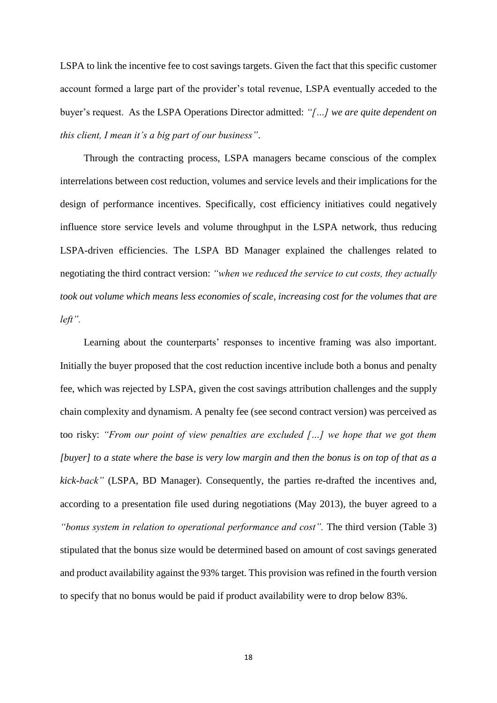LSPA to link the incentive fee to cost savings targets. Given the fact that this specific customer account formed a large part of the provider's total revenue, LSPA eventually acceded to the buyer's request. As the LSPA Operations Director admitted: *"[…] we are quite dependent on this client, I mean it's a big part of our business"*.

Through the contracting process, LSPA managers became conscious of the complex interrelations between cost reduction, volumes and service levels and their implications for the design of performance incentives. Specifically, cost efficiency initiatives could negatively influence store service levels and volume throughput in the LSPA network, thus reducing LSPA-driven efficiencies. The LSPA BD Manager explained the challenges related to negotiating the third contract version: *"when we reduced the service to cut costs, they actually took out volume which means less economies of scale, increasing cost for the volumes that are left".*

Learning about the counterparts' responses to incentive framing was also important. Initially the buyer proposed that the cost reduction incentive include both a bonus and penalty fee, which was rejected by LSPA, given the cost savings attribution challenges and the supply chain complexity and dynamism. A penalty fee (see second contract version) was perceived as too risky: *"From our point of view penalties are excluded […] we hope that we got them [buyer] to a state where the base is very low margin and then the bonus is on top of that as a kick-back"* (LSPA, BD Manager). Consequently, the parties re-drafted the incentives and, according to a presentation file used during negotiations (May 2013), the buyer agreed to a *"bonus system in relation to operational performance and cost".* The third version (Table 3) stipulated that the bonus size would be determined based on amount of cost savings generated and product availability against the 93% target. This provision was refined in the fourth version to specify that no bonus would be paid if product availability were to drop below 83%.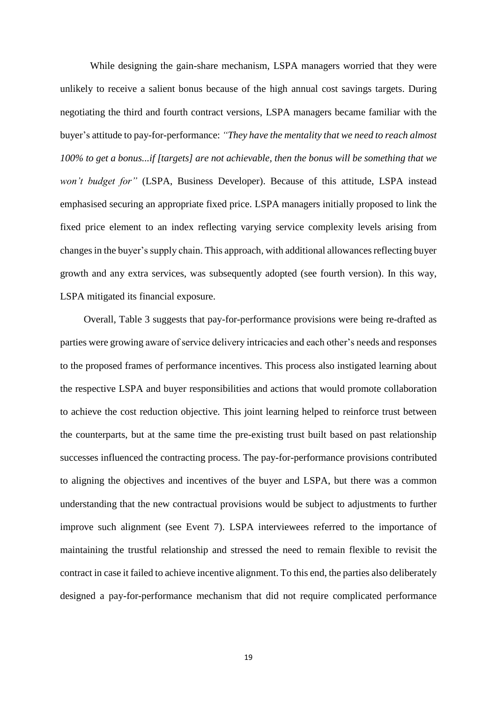While designing the gain-share mechanism, LSPA managers worried that they were unlikely to receive a salient bonus because of the high annual cost savings targets. During negotiating the third and fourth contract versions, LSPA managers became familiar with the buyer's attitude to pay-for-performance: *"They have the mentality that we need to reach almost 100% to get a bonus...if [targets] are not achievable, then the bonus will be something that we won't budget for"* (LSPA, Business Developer). Because of this attitude, LSPA instead emphasised securing an appropriate fixed price. LSPA managers initially proposed to link the fixed price element to an index reflecting varying service complexity levels arising from changes in the buyer's supply chain. This approach, with additional allowances reflecting buyer growth and any extra services, was subsequently adopted (see fourth version). In this way, LSPA mitigated its financial exposure.

Overall, Table 3 suggests that pay-for-performance provisions were being re-drafted as parties were growing aware of service delivery intricacies and each other's needs and responses to the proposed frames of performance incentives. This process also instigated learning about the respective LSPA and buyer responsibilities and actions that would promote collaboration to achieve the cost reduction objective. This joint learning helped to reinforce trust between the counterparts, but at the same time the pre-existing trust built based on past relationship successes influenced the contracting process. The pay-for-performance provisions contributed to aligning the objectives and incentives of the buyer and LSPA, but there was a common understanding that the new contractual provisions would be subject to adjustments to further improve such alignment (see Event 7). LSPA interviewees referred to the importance of maintaining the trustful relationship and stressed the need to remain flexible to revisit the contract in case it failed to achieve incentive alignment. To this end, the parties also deliberately designed a pay-for-performance mechanism that did not require complicated performance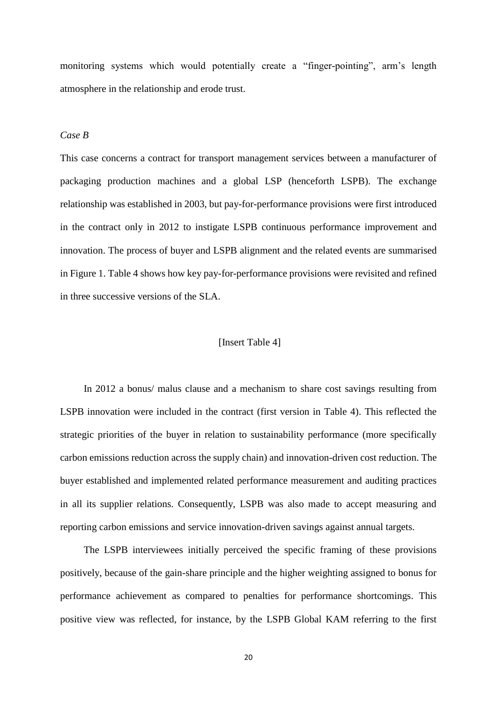monitoring systems which would potentially create a "finger-pointing", arm's length atmosphere in the relationship and erode trust.

# *Case B*

This case concerns a contract for transport management services between a manufacturer of packaging production machines and a global LSP (henceforth LSPB). The exchange relationship was established in 2003, but pay-for-performance provisions were first introduced in the contract only in 2012 to instigate LSPB continuous performance improvement and innovation. The process of buyer and LSPB alignment and the related events are summarised in Figure 1. Table 4 shows how key pay-for-performance provisions were revisited and refined in three successive versions of the SLA.

# [Insert Table 4]

In 2012 a bonus/ malus clause and a mechanism to share cost savings resulting from LSPB innovation were included in the contract (first version in Table 4). This reflected the strategic priorities of the buyer in relation to sustainability performance (more specifically carbon emissions reduction across the supply chain) and innovation-driven cost reduction. The buyer established and implemented related performance measurement and auditing practices in all its supplier relations. Consequently, LSPB was also made to accept measuring and reporting carbon emissions and service innovation-driven savings against annual targets.

The LSPB interviewees initially perceived the specific framing of these provisions positively, because of the gain-share principle and the higher weighting assigned to bonus for performance achievement as compared to penalties for performance shortcomings. This positive view was reflected, for instance, by the LSPB Global KAM referring to the first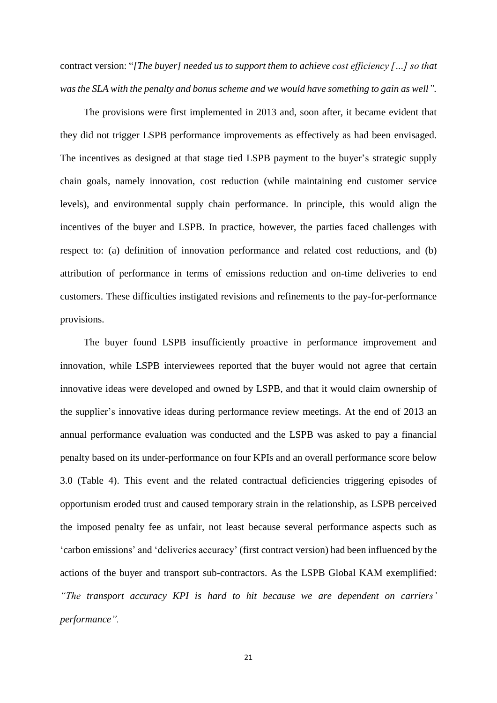contract version: "*[The buyer] needed us to support them to achieve cost efficiency […] so that was the SLA with the penalty and bonus scheme and we would have something to gain as well".* 

The provisions were first implemented in 2013 and, soon after, it became evident that they did not trigger LSPB performance improvements as effectively as had been envisaged. The incentives as designed at that stage tied LSPB payment to the buyer's strategic supply chain goals, namely innovation, cost reduction (while maintaining end customer service levels), and environmental supply chain performance. In principle, this would align the incentives of the buyer and LSPB. In practice, however, the parties faced challenges with respect to: (a) definition of innovation performance and related cost reductions, and (b) attribution of performance in terms of emissions reduction and on-time deliveries to end customers. These difficulties instigated revisions and refinements to the pay-for-performance provisions.

The buyer found LSPB insufficiently proactive in performance improvement and innovation, while LSPB interviewees reported that the buyer would not agree that certain innovative ideas were developed and owned by LSPB, and that it would claim ownership of the supplier's innovative ideas during performance review meetings. At the end of 2013 an annual performance evaluation was conducted and the LSPB was asked to pay a financial penalty based on its under-performance on four KPIs and an overall performance score below 3.0 (Table 4). This event and the related contractual deficiencies triggering episodes of opportunism eroded trust and caused temporary strain in the relationship, as LSPB perceived the imposed penalty fee as unfair, not least because several performance aspects such as 'carbon emissions' and 'deliveries accuracy' (first contract version) had been influenced by the actions of the buyer and transport sub-contractors. As the LSPB Global KAM exemplified: *"The transport accuracy KPI is hard to hit because we are dependent on carriers' performance".*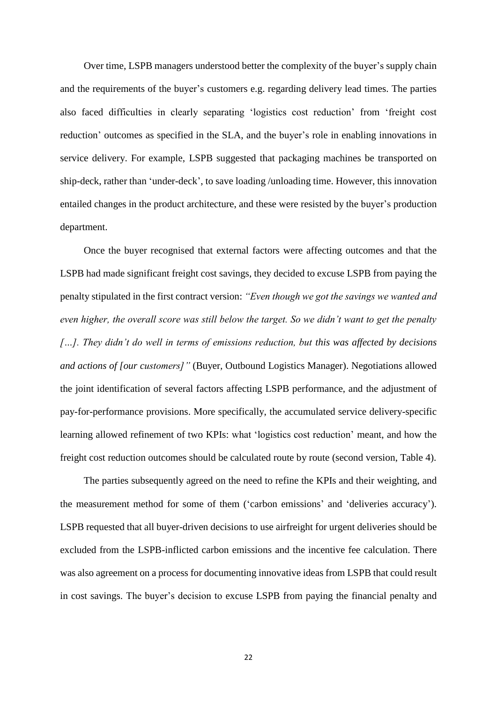Over time, LSPB managers understood better the complexity of the buyer's supply chain and the requirements of the buyer's customers e.g. regarding delivery lead times. The parties also faced difficulties in clearly separating 'logistics cost reduction' from 'freight cost reduction' outcomes as specified in the SLA, and the buyer's role in enabling innovations in service delivery. For example, LSPB suggested that packaging machines be transported on ship-deck, rather than 'under-deck', to save loading /unloading time. However, this innovation entailed changes in the product architecture, and these were resisted by the buyer's production department.

Once the buyer recognised that external factors were affecting outcomes and that the LSPB had made significant freight cost savings, they decided to excuse LSPB from paying the penalty stipulated in the first contract version: *"Even though we got the savings we wanted and even higher, the overall score was still below the target. So we didn't want to get the penalty […]. They didn't do well in terms of emissions reduction, but this was affected by decisions and actions of [our customers]"* (Buyer*,* Outbound Logistics Manager). Negotiations allowed the joint identification of several factors affecting LSPB performance, and the adjustment of pay-for-performance provisions. More specifically, the accumulated service delivery-specific learning allowed refinement of two KPIs: what 'logistics cost reduction' meant, and how the freight cost reduction outcomes should be calculated route by route (second version, Table 4).

The parties subsequently agreed on the need to refine the KPIs and their weighting, and the measurement method for some of them ('carbon emissions' and 'deliveries accuracy'). LSPB requested that all buyer-driven decisions to use airfreight for urgent deliveries should be excluded from the LSPB-inflicted carbon emissions and the incentive fee calculation. There was also agreement on a process for documenting innovative ideas from LSPB that could result in cost savings. The buyer's decision to excuse LSPB from paying the financial penalty and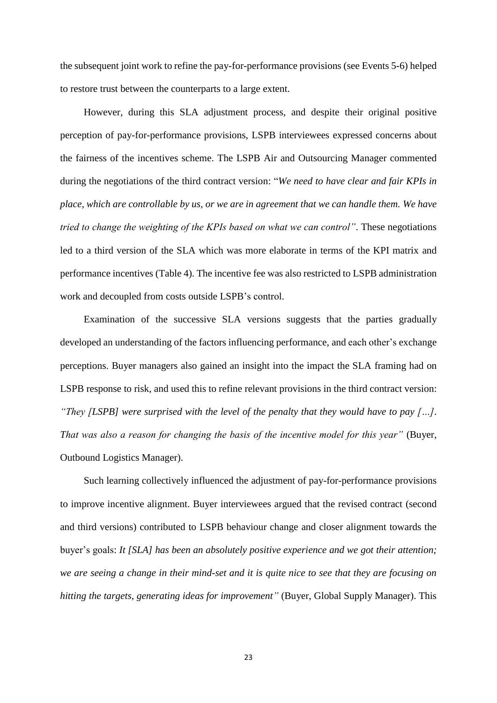the subsequent joint work to refine the pay-for-performance provisions (see Events 5-6) helped to restore trust between the counterparts to a large extent.

However, during this SLA adjustment process, and despite their original positive perception of pay-for-performance provisions, LSPB interviewees expressed concerns about the fairness of the incentives scheme. The LSPB Air and Outsourcing Manager commented during the negotiations of the third contract version: "*We need to have clear and fair KPIs in place, which are controllable by us, or we are in agreement that we can handle them. We have tried to change the weighting of the KPIs based on what we can control"*. These negotiations led to a third version of the SLA which was more elaborate in terms of the KPI matrix and performance incentives (Table 4). The incentive fee was also restricted to LSPB administration work and decoupled from costs outside LSPB's control.

Examination of the successive SLA versions suggests that the parties gradually developed an understanding of the factors influencing performance, and each other's exchange perceptions. Buyer managers also gained an insight into the impact the SLA framing had on LSPB response to risk, and used this to refine relevant provisions in the third contract version: *"They [LSPB] were surprised with the level of the penalty that they would have to pay […]. That was also a reason for changing the basis of the incentive model for this year"* (Buyer, Outbound Logistics Manager).

Such learning collectively influenced the adjustment of pay-for-performance provisions to improve incentive alignment. Buyer interviewees argued that the revised contract (second and third versions) contributed to LSPB behaviour change and closer alignment towards the buyer's goals: *It [SLA] has been an absolutely positive experience and we got their attention; we are seeing a change in their mind-set and it is quite nice to see that they are focusing on hitting the targets, generating ideas for improvement"* (Buyer, Global Supply Manager). This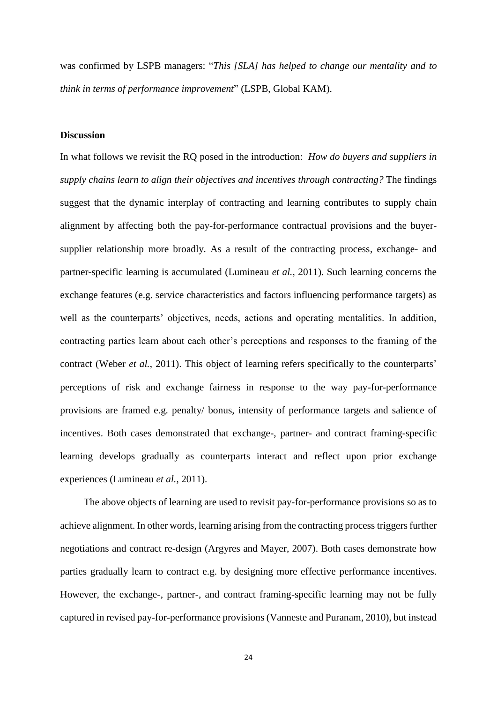was confirmed by LSPB managers: "*This [SLA] has helped to change our mentality and to think in terms of performance improvement*" (LSPB, Global KAM).

# **Discussion**

In what follows we revisit the RQ posed in the introduction: *How do buyers and suppliers in supply chains learn to align their objectives and incentives through contracting?* The findings suggest that the dynamic interplay of contracting and learning contributes to supply chain alignment by affecting both the pay-for-performance contractual provisions and the buyersupplier relationship more broadly. As a result of the contracting process, exchange- and partner-specific learning is accumulated (Lumineau *et al.*, 2011). Such learning concerns the exchange features (e.g. service characteristics and factors influencing performance targets) as well as the counterparts' objectives, needs, actions and operating mentalities. In addition, contracting parties learn about each other's perceptions and responses to the framing of the contract (Weber *et al.*, 2011). This object of learning refers specifically to the counterparts' perceptions of risk and exchange fairness in response to the way pay-for-performance provisions are framed e.g. penalty/ bonus, intensity of performance targets and salience of incentives. Both cases demonstrated that exchange-, partner- and contract framing-specific learning develops gradually as counterparts interact and reflect upon prior exchange experiences (Lumineau *et al.*, 2011).

The above objects of learning are used to revisit pay-for-performance provisions so as to achieve alignment. In other words, learning arising from the contracting process triggers further negotiations and contract re-design (Argyres and Mayer, 2007). Both cases demonstrate how parties gradually learn to contract e.g. by designing more effective performance incentives. However, the exchange-, partner-, and contract framing-specific learning may not be fully captured in revised pay-for-performance provisions (Vanneste and Puranam, 2010), but instead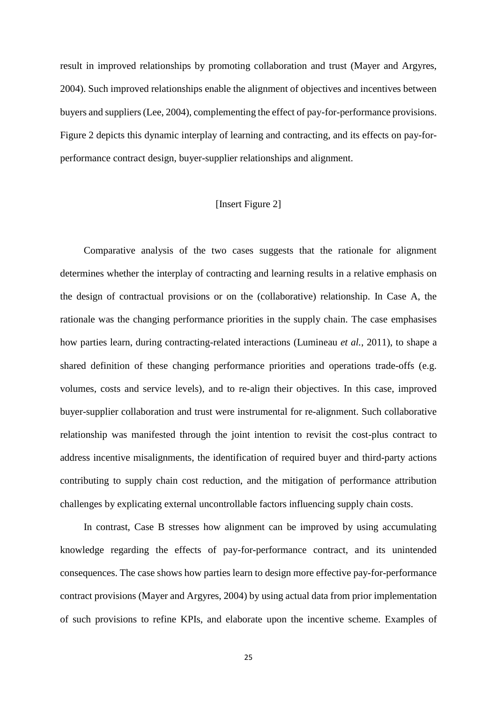result in improved relationships by promoting collaboration and trust (Mayer and Argyres, 2004). Such improved relationships enable the alignment of objectives and incentives between buyers and suppliers (Lee, 2004), complementing the effect of pay-for-performance provisions. Figure 2 depicts this dynamic interplay of learning and contracting, and its effects on pay-forperformance contract design, buyer-supplier relationships and alignment.

# [Insert Figure 2]

Comparative analysis of the two cases suggests that the rationale for alignment determines whether the interplay of contracting and learning results in a relative emphasis on the design of contractual provisions or on the (collaborative) relationship. In Case A, the rationale was the changing performance priorities in the supply chain. The case emphasises how parties learn, during contracting-related interactions (Lumineau *et al.*, 2011), to shape a shared definition of these changing performance priorities and operations trade-offs (e.g. volumes, costs and service levels), and to re-align their objectives. In this case, improved buyer-supplier collaboration and trust were instrumental for re-alignment. Such collaborative relationship was manifested through the joint intention to revisit the cost-plus contract to address incentive misalignments, the identification of required buyer and third-party actions contributing to supply chain cost reduction, and the mitigation of performance attribution challenges by explicating external uncontrollable factors influencing supply chain costs.

In contrast, Case B stresses how alignment can be improved by using accumulating knowledge regarding the effects of pay-for-performance contract, and its unintended consequences. The case shows how parties learn to design more effective pay-for-performance contract provisions (Mayer and Argyres, 2004) by using actual data from prior implementation of such provisions to refine KPIs, and elaborate upon the incentive scheme. Examples of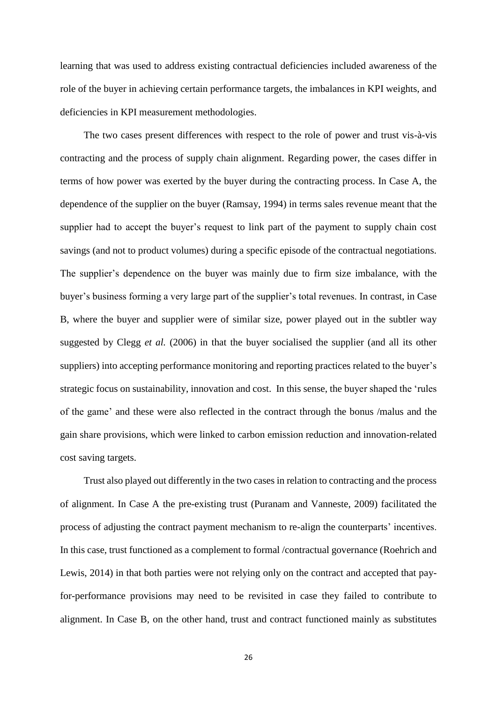learning that was used to address existing contractual deficiencies included awareness of the role of the buyer in achieving certain performance targets, the imbalances in KPI weights, and deficiencies in KPI measurement methodologies.

The two cases present differences with respect to the role of power and trust vis-à-vis contracting and the process of supply chain alignment. Regarding power, the cases differ in terms of how power was exerted by the buyer during the contracting process. In Case A, the dependence of the supplier on the buyer (Ramsay, 1994) in terms sales revenue meant that the supplier had to accept the buyer's request to link part of the payment to supply chain cost savings (and not to product volumes) during a specific episode of the contractual negotiations. The supplier's dependence on the buyer was mainly due to firm size imbalance, with the buyer's business forming a very large part of the supplier's total revenues. In contrast, in Case B, where the buyer and supplier were of similar size, power played out in the subtler way suggested by Clegg *et al.* (2006) in that the buyer socialised the supplier (and all its other suppliers) into accepting performance monitoring and reporting practices related to the buyer's strategic focus on sustainability, innovation and cost. In this sense, the buyer shaped the 'rules of the game' and these were also reflected in the contract through the bonus /malus and the gain share provisions, which were linked to carbon emission reduction and innovation-related cost saving targets.

Trust also played out differently in the two cases in relation to contracting and the process of alignment. In Case A the pre-existing trust (Puranam and Vanneste, 2009) facilitated the process of adjusting the contract payment mechanism to re-align the counterparts' incentives. In this case, trust functioned as a complement to formal /contractual governance (Roehrich and Lewis, 2014) in that both parties were not relying only on the contract and accepted that payfor-performance provisions may need to be revisited in case they failed to contribute to alignment. In Case B, on the other hand, trust and contract functioned mainly as substitutes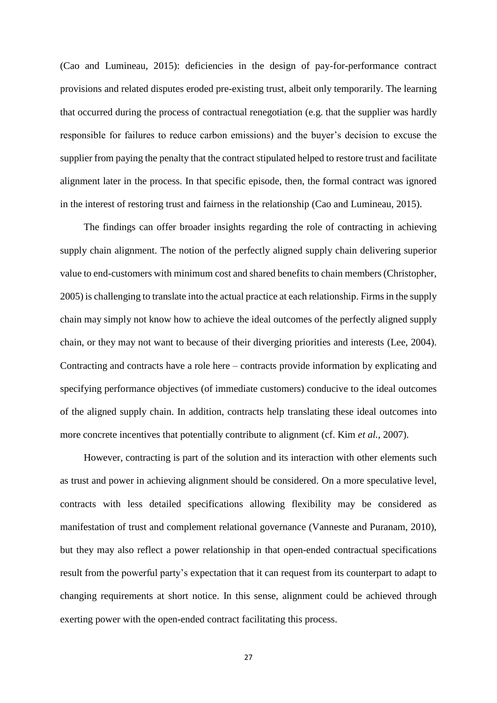(Cao and Lumineau, 2015): deficiencies in the design of pay-for-performance contract provisions and related disputes eroded pre-existing trust, albeit only temporarily. The learning that occurred during the process of contractual renegotiation (e.g. that the supplier was hardly responsible for failures to reduce carbon emissions) and the buyer's decision to excuse the supplier from paying the penalty that the contract stipulated helped to restore trust and facilitate alignment later in the process. In that specific episode, then, the formal contract was ignored in the interest of restoring trust and fairness in the relationship (Cao and Lumineau, 2015).

The findings can offer broader insights regarding the role of contracting in achieving supply chain alignment. The notion of the perfectly aligned supply chain delivering superior value to end-customers with minimum cost and shared benefits to chain members (Christopher, 2005) is challenging to translate into the actual practice at each relationship. Firms in the supply chain may simply not know how to achieve the ideal outcomes of the perfectly aligned supply chain, or they may not want to because of their diverging priorities and interests (Lee, 2004). Contracting and contracts have a role here – contracts provide information by explicating and specifying performance objectives (of immediate customers) conducive to the ideal outcomes of the aligned supply chain. In addition, contracts help translating these ideal outcomes into more concrete incentives that potentially contribute to alignment (cf. Kim *et al.*, 2007).

However, contracting is part of the solution and its interaction with other elements such as trust and power in achieving alignment should be considered. On a more speculative level, contracts with less detailed specifications allowing flexibility may be considered as manifestation of trust and complement relational governance (Vanneste and Puranam, 2010), but they may also reflect a power relationship in that open-ended contractual specifications result from the powerful party's expectation that it can request from its counterpart to adapt to changing requirements at short notice. In this sense, alignment could be achieved through exerting power with the open-ended contract facilitating this process.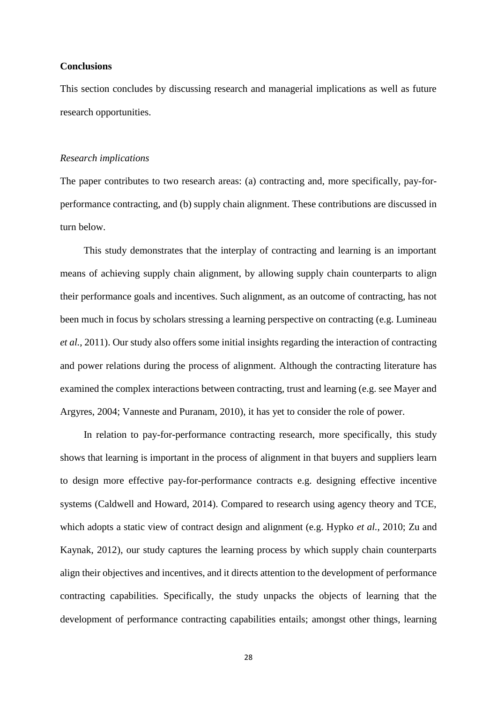## **Conclusions**

This section concludes by discussing research and managerial implications as well as future research opportunities.

#### *Research implications*

The paper contributes to two research areas: (a) contracting and, more specifically, pay-forperformance contracting, and (b) supply chain alignment. These contributions are discussed in turn below.

This study demonstrates that the interplay of contracting and learning is an important means of achieving supply chain alignment, by allowing supply chain counterparts to align their performance goals and incentives. Such alignment, as an outcome of contracting, has not been much in focus by scholars stressing a learning perspective on contracting (e.g. Lumineau *et al.*, 2011). Our study also offers some initial insights regarding the interaction of contracting and power relations during the process of alignment. Although the contracting literature has examined the complex interactions between contracting, trust and learning (e.g. see Mayer and Argyres, 2004; Vanneste and Puranam, 2010), it has yet to consider the role of power.

In relation to pay-for-performance contracting research, more specifically, this study shows that learning is important in the process of alignment in that buyers and suppliers learn to design more effective pay-for-performance contracts e.g. designing effective incentive systems (Caldwell and Howard, 2014). Compared to research using agency theory and TCE, which adopts a static view of contract design and alignment (e.g. Hypko *et al.*, 2010; Zu and Kaynak, 2012), our study captures the learning process by which supply chain counterparts align their objectives and incentives, and it directs attention to the development of performance contracting capabilities. Specifically, the study unpacks the objects of learning that the development of performance contracting capabilities entails; amongst other things, learning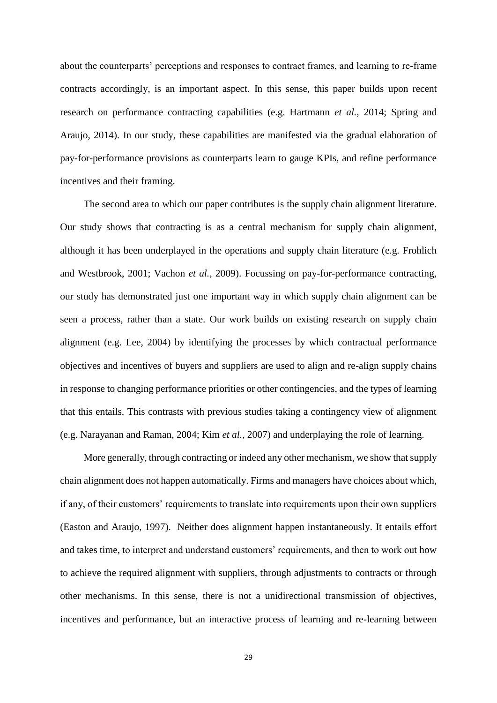about the counterparts' perceptions and responses to contract frames, and learning to re-frame contracts accordingly, is an important aspect. In this sense, this paper builds upon recent research on performance contracting capabilities (e.g. Hartmann *et al.*, 2014; Spring and Araujo, 2014). In our study, these capabilities are manifested via the gradual elaboration of pay-for-performance provisions as counterparts learn to gauge KPIs, and refine performance incentives and their framing.

The second area to which our paper contributes is the supply chain alignment literature. Our study shows that contracting is as a central mechanism for supply chain alignment, although it has been underplayed in the operations and supply chain literature (e.g. Frohlich and Westbrook, 2001; Vachon *et al.*, 2009). Focussing on pay-for-performance contracting, our study has demonstrated just one important way in which supply chain alignment can be seen a process, rather than a state. Our work builds on existing research on supply chain alignment (e.g. Lee, 2004) by identifying the processes by which contractual performance objectives and incentives of buyers and suppliers are used to align and re-align supply chains in response to changing performance priorities or other contingencies, and the types of learning that this entails. This contrasts with previous studies taking a contingency view of alignment (e.g. Narayanan and Raman, 2004; Kim *et al.*, 2007) and underplaying the role of learning.

More generally, through contracting or indeed any other mechanism, we show that supply chain alignment does not happen automatically. Firms and managers have choices about which, if any, of their customers' requirements to translate into requirements upon their own suppliers (Easton and Araujo, 1997). Neither does alignment happen instantaneously. It entails effort and takes time, to interpret and understand customers' requirements, and then to work out how to achieve the required alignment with suppliers, through adjustments to contracts or through other mechanisms. In this sense, there is not a unidirectional transmission of objectives, incentives and performance, but an interactive process of learning and re-learning between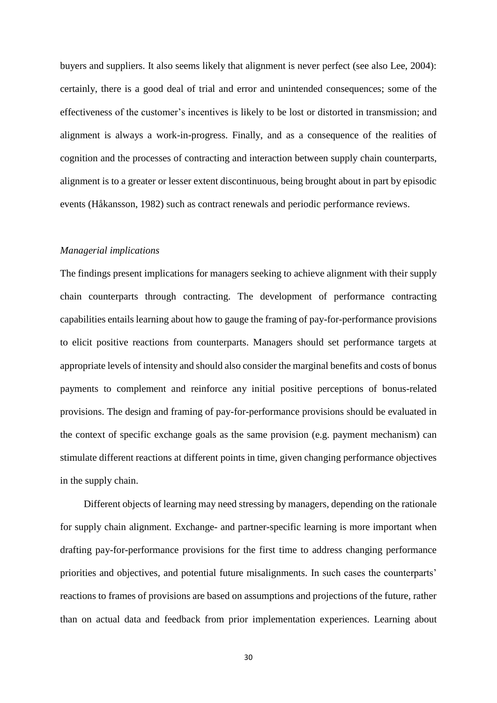buyers and suppliers. It also seems likely that alignment is never perfect (see also Lee, 2004): certainly, there is a good deal of trial and error and unintended consequences; some of the effectiveness of the customer's incentives is likely to be lost or distorted in transmission; and alignment is always a work-in-progress. Finally, and as a consequence of the realities of cognition and the processes of contracting and interaction between supply chain counterparts, alignment is to a greater or lesser extent discontinuous, being brought about in part by episodic events (Håkansson, 1982) such as contract renewals and periodic performance reviews.

# *Managerial implications*

The findings present implications for managers seeking to achieve alignment with their supply chain counterparts through contracting. The development of performance contracting capabilities entails learning about how to gauge the framing of pay-for-performance provisions to elicit positive reactions from counterparts. Managers should set performance targets at appropriate levels of intensity and should also consider the marginal benefits and costs of bonus payments to complement and reinforce any initial positive perceptions of bonus-related provisions. The design and framing of pay-for-performance provisions should be evaluated in the context of specific exchange goals as the same provision (e.g. payment mechanism) can stimulate different reactions at different points in time, given changing performance objectives in the supply chain.

Different objects of learning may need stressing by managers, depending on the rationale for supply chain alignment. Exchange- and partner-specific learning is more important when drafting pay-for-performance provisions for the first time to address changing performance priorities and objectives, and potential future misalignments. In such cases the counterparts' reactions to frames of provisions are based on assumptions and projections of the future, rather than on actual data and feedback from prior implementation experiences. Learning about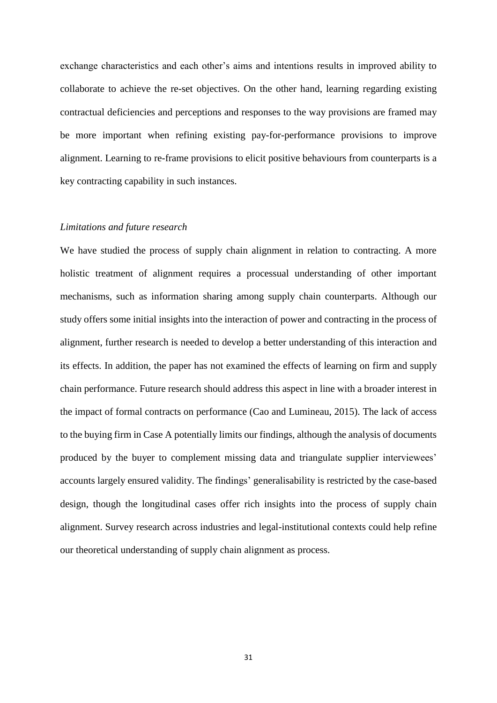exchange characteristics and each other's aims and intentions results in improved ability to collaborate to achieve the re-set objectives. On the other hand, learning regarding existing contractual deficiencies and perceptions and responses to the way provisions are framed may be more important when refining existing pay-for-performance provisions to improve alignment. Learning to re-frame provisions to elicit positive behaviours from counterparts is a key contracting capability in such instances.

# *Limitations and future research*

We have studied the process of supply chain alignment in relation to contracting. A more holistic treatment of alignment requires a processual understanding of other important mechanisms, such as information sharing among supply chain counterparts. Although our study offers some initial insights into the interaction of power and contracting in the process of alignment, further research is needed to develop a better understanding of this interaction and its effects. In addition, the paper has not examined the effects of learning on firm and supply chain performance. Future research should address this aspect in line with a broader interest in the impact of formal contracts on performance (Cao and Lumineau, 2015). The lack of access to the buying firm in Case A potentially limits our findings, although the analysis of documents produced by the buyer to complement missing data and triangulate supplier interviewees' accounts largely ensured validity. The findings' generalisability is restricted by the case-based design, though the longitudinal cases offer rich insights into the process of supply chain alignment. Survey research across industries and legal-institutional contexts could help refine our theoretical understanding of supply chain alignment as process.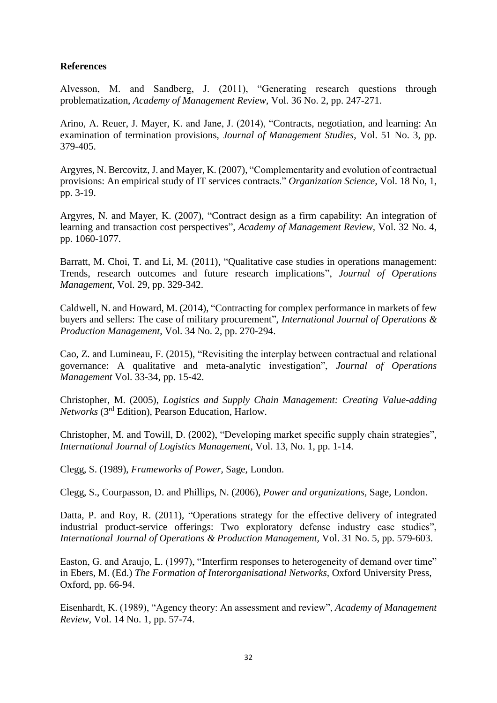# **References**

Alvesson, M. and Sandberg, J. (2011), "Generating research questions through problematization, *Academy of Management Review,* Vol. 36 No. 2, pp. 247-271.

Arino, A. Reuer, J. Mayer, K. and Jane, J. (2014), "Contracts, negotiation, and learning: An examination of termination provisions, *Journal of Management Studies*, Vol. 51 No. 3, pp. 379-405.

Argyres, N. Bercovitz,J. and Mayer, K. (2007), "Complementarity and evolution of contractual provisions: An empirical study of IT services contracts." *Organization Science,* Vol. 18 No, 1, pp. 3-19.

Argyres, N. and Mayer, K. (2007), "Contract design as a firm capability: An integration of learning and transaction cost perspectives", *Academy of Management Review,* Vol. 32 No. 4, pp. 1060-1077.

Barratt, M. Choi, T. and Li, M. (2011), "Qualitative case studies in operations management: Trends, research outcomes and future research implications", *Journal of Operations Management*, Vol. 29, pp. 329-342.

Caldwell, N. and Howard, M. (2014), "Contracting for complex performance in markets of few buyers and sellers: The case of military procurement", *International Journal of Operations & Production Management*, Vol. 34 No. 2, pp. 270-294.

Cao, Z. and Lumineau, F. (2015), "Revisiting the interplay between contractual and relational governance: A qualitative and meta-analytic investigation", *Journal of Operations Management* Vol. 33-34, pp. 15-42.

Christopher, M. (2005), *Logistics and Supply Chain Management: Creating Value-adding Networks* (3rd Edition), Pearson Education, Harlow.

Christopher, M. and Towill, D. (2002), "Developing market specific supply chain strategies", *International Journal of Logistics Management*, Vol. 13, No. 1, pp. 1-14.

Clegg, S. (1989), *Frameworks of Power,* Sage, London.

Clegg, S., Courpasson, D. and Phillips, N. (2006), *Power and organizations,* Sage*,* London.

Datta, P. and Roy, R. (2011), "Operations strategy for the effective delivery of integrated industrial product-service offerings: Two exploratory defense industry case studies", *International Journal of Operations & Production Management,* Vol. 31 No. 5, pp. 579-603.

Easton, G. and Araujo, L. (1997), "Interfirm responses to heterogeneity of demand over time" in Ebers, M. (Ed.) *The Formation of Interorganisational Networks,* Oxford University Press, Oxford, pp. 66-94.

Eisenhardt, K. (1989), "Agency theory: An assessment and review", *Academy of Management Review*, Vol. 14 No. 1, pp. 57-74.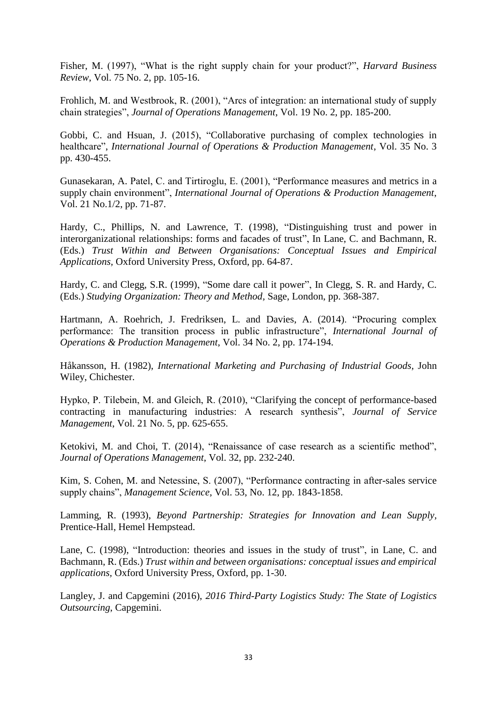Fisher, M. (1997), "What is the right supply chain for your product?", *Harvard Business Review*, Vol. 75 No. 2, pp. 105-16.

Frohlich, M. and Westbrook, R. (2001), "Arcs of integration: an international study of supply chain strategies", *Journal of Operations Management*, Vol. 19 No. 2, pp. 185-200.

Gobbi, C. and Hsuan, J. (2015), "Collaborative purchasing of complex technologies in healthcare", *International Journal of Operations & Production Management*, Vol. 35 No. 3 pp. 430-455.

Gunasekaran, A. Patel, C. and Tirtiroglu, E. (2001), "Performance measures and metrics in a supply chain environment", *International Journal of Operations & Production Management*, Vol. 21 No.1/2, pp. 71-87.

Hardy, C., Phillips, N. and Lawrence, T. (1998), "Distinguishing trust and power in interorganizational relationships: forms and facades of trust", In Lane, C. and Bachmann, R. (Eds.) *Trust Within and Between Organisations: Conceptual Issues and Empirical Applications,* Oxford University Press, Oxford, pp. 64-87.

Hardy, C. and Clegg, S.R. (1999), "Some dare call it power", In Clegg, S. R. and Hardy, C. (Eds.) *Studying Organization: Theory and Method,* Sage, London, pp. 368-387.

Hartmann, A. Roehrich, J. Fredriksen, L. and Davies, A. (2014). "Procuring complex performance: The transition process in public infrastructure", *International Journal of Operations & Production Management*, Vol. 34 No. 2, pp. 174-194.

Håkansson, H. (1982), *International Marketing and Purchasing of Industrial Goods,* John Wiley, Chichester.

Hypko, P. Tilebein, M. and Gleich, R. (2010), "Clarifying the concept of performance-based contracting in manufacturing industries: A research synthesis", *Journal of Service Management*, Vol. 21 No. 5, pp. 625-655.

Ketokivi, M. and Choi, T. (2014), "Renaissance of case research as a scientific method", *Journal of Operations Management*, Vol. 32, pp. 232-240.

Kim, S. Cohen, M. and Netessine, S. (2007), "Performance contracting in after-sales service supply chains", *Management Science*, Vol. 53, No. 12, pp. 1843-1858.

Lamming, R. (1993), *Beyond Partnership: Strategies for Innovation and Lean Supply,*  Prentice-Hall, Hemel Hempstead.

Lane, C. (1998), "Introduction: theories and issues in the study of trust", in Lane, C. and Bachmann, R. (Eds.) *Trust within and between organisations: conceptual issues and empirical applications,* Oxford University Press, Oxford, pp. 1-30.

Langley, J. and Capgemini (2016), *2016 Third-Party Logistics Study: The State of Logistics Outsourcing*, Capgemini.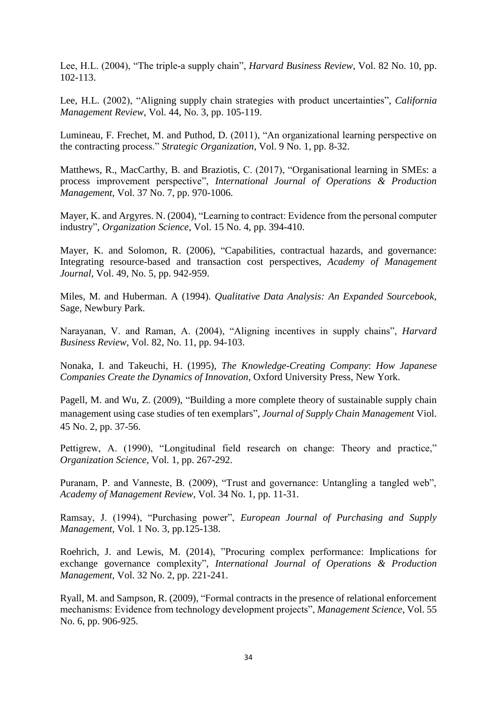Lee, H.L. (2004), "The triple-a supply chain", *Harvard Business Review*, Vol. 82 No. 10, pp. 102-113.

Lee, H.L. (2002), "Aligning supply chain strategies with product uncertainties", *California Management Review*, Vol. 44, No. 3, pp. 105-119.

Lumineau, F. Frechet, M. and Puthod, D. (2011), "An organizational learning perspective on the contracting process." *Strategic Organization*, Vol. 9 No. 1, pp. 8-32.

Matthews, R., MacCarthy, B. and Braziotis, C. (2017), "Organisational learning in SMEs: a process improvement perspective", *International Journal of Operations & Production Management*, Vol. 37 No. 7, pp. 970-1006.

Mayer, K. and Argyres. N. (2004), "Learning to contract: Evidence from the personal computer industry", *Organization Science*, Vol. 15 No. 4, pp. 394-410.

Mayer, K. and Solomon, R. (2006), "Capabilities, contractual hazards, and governance: Integrating resource-based and transaction cost perspectives, *Academy of Management Journal*, Vol. 49, No. 5, pp. 942-959.

Miles, M. and Huberman. A (1994). *Qualitative Data Analysis: An Expanded Sourcebook*, Sage, Newbury Park.

Narayanan, V. and Raman, A. (2004), "Aligning incentives in supply chains", *Harvard Business Review*, Vol. 82, No. 11, pp. 94-103.

Nonaka, I. and Takeuchi, H. (1995), *The Knowledge-Creating Company*: *How Japanese Companies Create the Dynamics of Innovation*, Oxford University Press, New York.

Pagell, M. and Wu, Z. (2009), "Building a more complete theory of sustainable supply chain management using case studies of ten exemplars", *Journal of Supply Chain Management* Viol. 45 No. 2, pp. 37-56.

Pettigrew, A. (1990), "Longitudinal field research on change: Theory and practice," *Organization Science,* Vol. 1, pp. 267-292.

Puranam, P. and Vanneste, B. (2009), "Trust and governance: Untangling a tangled web", *Academy of Management Review*, Vol. 34 No. 1, pp. 11-31.

Ramsay, J. (1994), "Purchasing power", *European Journal of Purchasing and Supply Management*, Vol. 1 No. 3, pp.125-138.

Roehrich, J. and Lewis, M. (2014), "Procuring complex performance: Implications for exchange governance complexity"*, International Journal of Operations & Production Management*, Vol. 32 No. 2, pp. 221-241.

Ryall, M. and Sampson, R. (2009), "Formal contracts in the presence of relational enforcement mechanisms: Evidence from technology development projects", *Management Science*, Vol. 55 No. 6, pp. 906-925.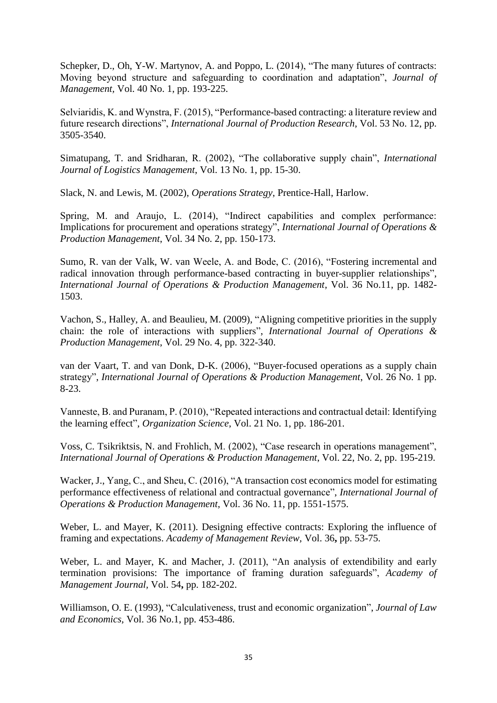Schepker, D., Oh, Y-W. Martynov, A. and Poppo, L. (2014), "The many futures of contracts: Moving beyond structure and safeguarding to coordination and adaptation", *Journal of Management,* Vol. 40 No. 1, pp. 193-225.

Selviaridis, K. and Wynstra, F. (2015), "Performance-based contracting: a literature review and future research directions", *International Journal of Production Research*, Vol. 53 No. 12, pp. 3505-3540.

Simatupang, T. and Sridharan, R. (2002), "The collaborative supply chain", *International Journal of Logistics Management*, Vol. 13 No. 1, pp. 15-30.

Slack, N. and Lewis, M. (2002), *Operations Strategy*, Prentice-Hall, Harlow.

Spring, M. and Araujo, L. (2014), "Indirect capabilities and complex performance: Implications for procurement and operations strategy", *International Journal of Operations & Production Management*, Vol. 34 No. 2, pp. 150-173.

Sumo, R. van der Valk, W. van Weele, A. and Bode, C. (2016), "Fostering incremental and radical innovation through performance-based contracting in buyer-supplier relationships", *International Journal of Operations & Production Management*, Vol. 36 No.11, pp. 1482- 1503.

Vachon, S., Halley, A. and Beaulieu, M. (2009), "Aligning competitive priorities in the supply chain: the role of interactions with suppliers", *International Journal of Operations & Production Management*, Vol. 29 No. 4, pp. 322-340.

van der Vaart, T. and van Donk, D-K. (2006), "Buyer-focused operations as a supply chain strategy", *International Journal of Operations & Production Management*, Vol. 26 No. 1 pp. 8-23.

Vanneste, B. and Puranam, P. (2010), "Repeated interactions and contractual detail: Identifying the learning effect", *Organization Science*, Vol. 21 No. 1, pp. 186-201.

Voss, C. Tsikriktsis, N. and Frohlich, M. (2002), "Case research in operations management", *International Journal of Operations & Production Management*, Vol. 22, No. 2, pp. 195-219.

Wacker, J., Yang, C., and Sheu, C. (2016), "A transaction cost economics model for estimating performance effectiveness of relational and contractual governance", *International Journal of Operations & Production Management*, Vol. 36 No. 11, pp. 1551-1575.

Weber, L. and Mayer, K. (2011). Designing effective contracts: Exploring the influence of framing and expectations. *Academy of Management Review,* Vol. 36**,** pp. 53-75.

Weber, L. and Mayer, K. and Macher, J. (2011), "An analysis of extendibility and early termination provisions: The importance of framing duration safeguards", *Academy of Management Journal,* Vol. 54**,** pp. 182-202.

Williamson, O. E. (1993), "Calculativeness, trust and economic organization", *Journal of Law and Economics,* Vol. 36 No.1, pp. 453-486.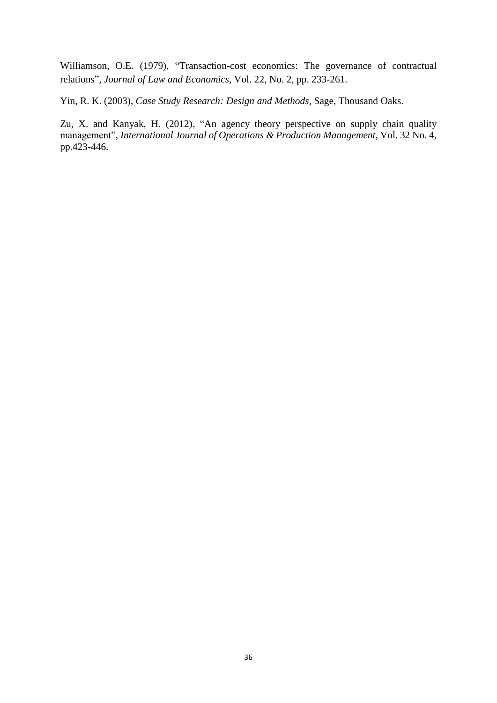Williamson, O.E. (1979), "Transaction-cost economics: The governance of contractual relations", *Journal of Law and Economics*, Vol. 22, No. 2, pp. 233-261.

Yin, R. K. (2003), *Case Study Research: Design and Methods*, Sage, Thousand Oaks.

Zu, X. and Kanyak, H. (2012), "An agency theory perspective on supply chain quality management", *International Journal of Operations & Production Management*, Vol. 32 No. 4, pp.423-446.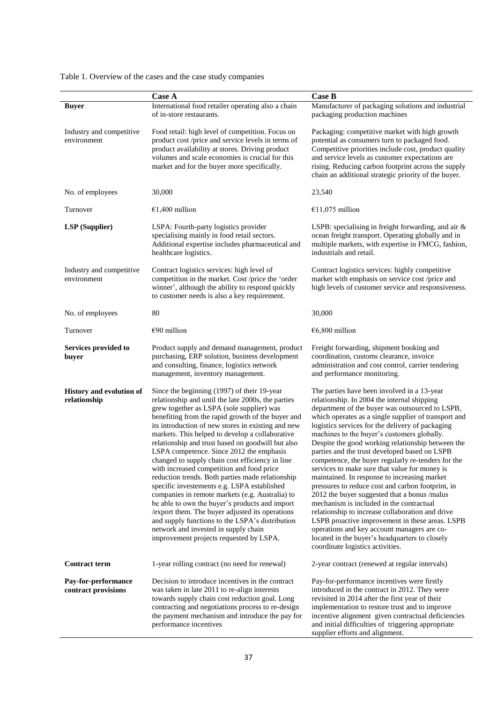|                                            | <b>Case A</b>                                                                                                                                                                                                                                                                                                                                                                                                                                                                                                                                                                                                                                                                                                                                                                                                                                                                                                  | <b>Case B</b>                                                                                                                                                                                                                                                                                                                                                                                                                                                                                                                                                                                                                                                                                                                                                                                                                                                                                                                                                      |  |  |
|--------------------------------------------|----------------------------------------------------------------------------------------------------------------------------------------------------------------------------------------------------------------------------------------------------------------------------------------------------------------------------------------------------------------------------------------------------------------------------------------------------------------------------------------------------------------------------------------------------------------------------------------------------------------------------------------------------------------------------------------------------------------------------------------------------------------------------------------------------------------------------------------------------------------------------------------------------------------|--------------------------------------------------------------------------------------------------------------------------------------------------------------------------------------------------------------------------------------------------------------------------------------------------------------------------------------------------------------------------------------------------------------------------------------------------------------------------------------------------------------------------------------------------------------------------------------------------------------------------------------------------------------------------------------------------------------------------------------------------------------------------------------------------------------------------------------------------------------------------------------------------------------------------------------------------------------------|--|--|
| <b>Buyer</b>                               | International food retailer operating also a chain<br>of in-store restaurants.                                                                                                                                                                                                                                                                                                                                                                                                                                                                                                                                                                                                                                                                                                                                                                                                                                 | Manufacturer of packaging solutions and industrial<br>packaging production machines                                                                                                                                                                                                                                                                                                                                                                                                                                                                                                                                                                                                                                                                                                                                                                                                                                                                                |  |  |
| Industry and competitive<br>environment    | Food retail: high level of competition. Focus on<br>product cost /price and service levels in terms of<br>product availability at stores. Driving product<br>volumes and scale economies is crucial for this<br>market and for the buyer more specifically.                                                                                                                                                                                                                                                                                                                                                                                                                                                                                                                                                                                                                                                    | Packaging: competitive market with high growth<br>potential as consumers turn to packaged food.<br>Competitive priorities include cost, product quality<br>and service levels as customer expectations are<br>rising. Reducing carbon footprint across the supply<br>chain an additional strategic priority of the buyer.                                                                                                                                                                                                                                                                                                                                                                                                                                                                                                                                                                                                                                          |  |  |
| No. of employees                           | 30,000                                                                                                                                                                                                                                                                                                                                                                                                                                                                                                                                                                                                                                                                                                                                                                                                                                                                                                         | 23,540                                                                                                                                                                                                                                                                                                                                                                                                                                                                                                                                                                                                                                                                                                                                                                                                                                                                                                                                                             |  |  |
| Turnover                                   | €1,400 million                                                                                                                                                                                                                                                                                                                                                                                                                                                                                                                                                                                                                                                                                                                                                                                                                                                                                                 | €11,075 million                                                                                                                                                                                                                                                                                                                                                                                                                                                                                                                                                                                                                                                                                                                                                                                                                                                                                                                                                    |  |  |
| <b>LSP</b> (Supplier)                      | LSPA: Fourth-party logistics provider<br>specialising mainly in food retail sectors.<br>Additional expertise includes pharmaceutical and<br>healthcare logistics.                                                                                                                                                                                                                                                                                                                                                                                                                                                                                                                                                                                                                                                                                                                                              | LSPB: specialising in freight forwarding, and air $\&$<br>ocean freight transport. Operating globally and in<br>multiple markets, with expertise in FMCG, fashion,<br>industrials and retail.                                                                                                                                                                                                                                                                                                                                                                                                                                                                                                                                                                                                                                                                                                                                                                      |  |  |
| Industry and competitive<br>environment    | Contract logistics services: high level of<br>competition in the market. Cost /price the 'order<br>winner', although the ability to respond quickly<br>to customer needs is also a key requirement.                                                                                                                                                                                                                                                                                                                                                                                                                                                                                                                                                                                                                                                                                                            | Contract logistics services: highly competitive<br>market with emphasis on service cost /price and<br>high levels of customer service and responsiveness.                                                                                                                                                                                                                                                                                                                                                                                                                                                                                                                                                                                                                                                                                                                                                                                                          |  |  |
| No. of employees                           | 80                                                                                                                                                                                                                                                                                                                                                                                                                                                                                                                                                                                                                                                                                                                                                                                                                                                                                                             | 30,000                                                                                                                                                                                                                                                                                                                                                                                                                                                                                                                                                                                                                                                                                                                                                                                                                                                                                                                                                             |  |  |
| Turnover                                   | €90 million                                                                                                                                                                                                                                                                                                                                                                                                                                                                                                                                                                                                                                                                                                                                                                                                                                                                                                    | $€6,800$ million                                                                                                                                                                                                                                                                                                                                                                                                                                                                                                                                                                                                                                                                                                                                                                                                                                                                                                                                                   |  |  |
| Services provided to<br>buyer              | Product supply and demand management, product<br>purchasing, ERP solution, business development<br>and consulting, finance, logistics network<br>management, inventory management.                                                                                                                                                                                                                                                                                                                                                                                                                                                                                                                                                                                                                                                                                                                             | Freight forwarding, shipment booking and<br>coordination, customs clearance, invoice<br>administration and cost control, carrier tendering<br>and performance monitoring.                                                                                                                                                                                                                                                                                                                                                                                                                                                                                                                                                                                                                                                                                                                                                                                          |  |  |
| History and evolution of<br>relationship   | Since the beginning (1997) of their 19-year<br>relationship and until the late 2000s, the parties<br>grew together as LSPA (sole supplier) was<br>benefiting from the rapid growth of the buyer and<br>its introduction of new stores in existing and new<br>markets. This helped to develop a collaborative<br>relationship and trust based on goodwill but also<br>LSPA competence. Since 2012 the emphasis<br>changed to supply chain cost efficiency in line<br>with increased competition and food price<br>reduction trends. Both parties made relationship<br>specific investements e.g. LSPA established<br>companies in remote markets (e.g. Australia) to<br>be able to own the buyer's products and import<br>/export them. The buyer adjusted its operations<br>and supply functions to the LSPA's distribution<br>network and invested in supply chain<br>improvement projects requested by LSPA. | The parties have been involved in a 13-year<br>relationship. In 2004 the internal shipping<br>department of the buyer was outsourced to LSPB,<br>which operates as a single supplier of transport and<br>logistics services for the delivery of packaging<br>machines to the buyer's customers globally.<br>Despite the good working relationship between the<br>parties and the trust developed based on LSPB<br>competence, the buyer regularly re-tenders for the<br>services to make sure that value for money is<br>maintained. In response to increasing market<br>pressures to reduce cost and carbon footprint, in<br>2012 the buyer suggested that a bonus /malus<br>mechanism is included in the contractual<br>relationship to increase collaboration and drive<br>LSPB proactive improvement in these areas. LSPB<br>operations and key account managers are co-<br>located in the buyer's headquarters to closely<br>coordinate logistics activities. |  |  |
| <b>Contract term</b>                       | 1-year rolling contract (no need for renewal)                                                                                                                                                                                                                                                                                                                                                                                                                                                                                                                                                                                                                                                                                                                                                                                                                                                                  | 2-year contract (renewed at regular intervals)                                                                                                                                                                                                                                                                                                                                                                                                                                                                                                                                                                                                                                                                                                                                                                                                                                                                                                                     |  |  |
| Pay-for-performance<br>contract provisions | Decision to introduce incentives in the contract<br>was taken in late 2011 to re-align interests<br>towards supply chain cost reduction goal. Long<br>contracting and negotiations process to re-design<br>the payment mechanism and introduce the pay for<br>performance incentives                                                                                                                                                                                                                                                                                                                                                                                                                                                                                                                                                                                                                           | Pay-for-performance incentives were firstly<br>introduced in the contract in 2012. They were<br>revisited in 2014 after the first year of their<br>implementation to restore trust and to improve<br>incentive alignment given contractual deficiencies<br>and initial difficulties of triggering appropriate<br>supplier efforts and alignment.                                                                                                                                                                                                                                                                                                                                                                                                                                                                                                                                                                                                                   |  |  |

Table 1. Overview of the cases and the case study companies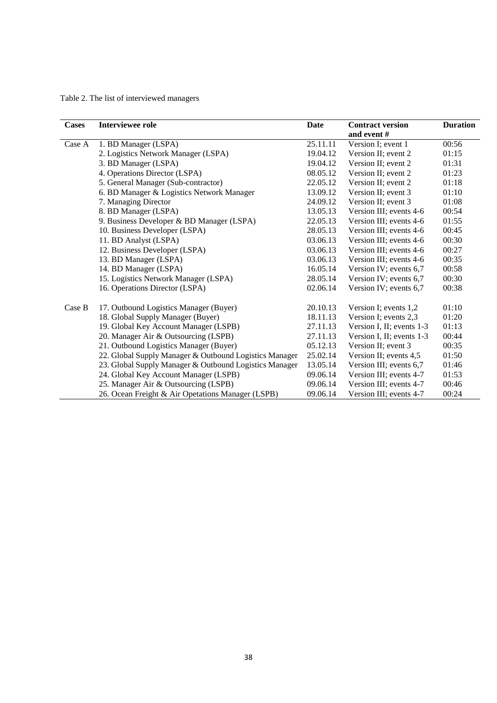Table 2. The list of interviewed managers

| <b>Cases</b> | <b>Interviewee role</b>                                | Date     | <b>Contract version</b>   | <b>Duration</b> |
|--------------|--------------------------------------------------------|----------|---------------------------|-----------------|
|              |                                                        |          | and event #               |                 |
| Case A       | 1. BD Manager (LSPA)                                   | 25.11.11 | Version I; event 1        | 00:56           |
|              | 2. Logistics Network Manager (LSPA)                    | 19.04.12 | Version II; event 2       | 01:15           |
|              | 3. BD Manager (LSPA)                                   | 19.04.12 | Version II; event 2       | 01:31           |
|              | 4. Operations Director (LSPA)                          | 08.05.12 | Version II; event 2       | 01:23           |
|              | 5. General Manager (Sub-contractor)                    | 22.05.12 | Version II; event 2       | 01:18           |
|              | 6. BD Manager & Logistics Network Manager              | 13.09.12 | Version II; event 3       | 01:10           |
|              | 7. Managing Director                                   | 24.09.12 | Version II; event 3       | 01:08           |
|              | 8. BD Manager (LSPA)                                   | 13.05.13 | Version III; events 4-6   | 00:54           |
|              | 9. Business Developer & BD Manager (LSPA)              | 22.05.13 | Version III; events 4-6   | 01:55           |
|              | 10. Business Developer (LSPA)                          | 28.05.13 | Version III; events 4-6   | 00:45           |
|              | 11. BD Analyst (LSPA)                                  | 03.06.13 | Version III; events 4-6   | 00:30           |
|              | 12. Business Developer (LSPA)                          | 03.06.13 | Version III; events 4-6   | 00:27           |
|              | 13. BD Manager (LSPA)                                  | 03.06.13 | Version III; events 4-6   | 00:35           |
|              | 14. BD Manager (LSPA)                                  | 16.05.14 | Version IV; events 6,7    | 00:58           |
|              | 15. Logistics Network Manager (LSPA)                   | 28.05.14 | Version IV; events 6,7    | 00:30           |
|              | 16. Operations Director (LSPA)                         | 02.06.14 | Version IV; events 6,7    | 00:38           |
| Case B       | 17. Outbound Logistics Manager (Buyer)                 | 20.10.13 | Version I; events 1,2     | 01:10           |
|              | 18. Global Supply Manager (Buyer)                      | 18.11.13 | Version I; events 2,3     | 01:20           |
|              | 19. Global Key Account Manager (LSPB)                  | 27.11.13 | Version I, II; events 1-3 | 01:13           |
|              | 20. Manager Air & Outsourcing (LSPB)                   | 27.11.13 | Version I, II; events 1-3 | 00:44           |
|              | 21. Outbound Logistics Manager (Buyer)                 | 05.12.13 | Version II; event 3       | 00:35           |
|              | 22. Global Supply Manager & Outbound Logistics Manager | 25.02.14 | Version II; events 4,5    | 01:50           |
|              | 23. Global Supply Manager & Outbound Logistics Manager | 13.05.14 | Version III; events 6,7   | 01:46           |
|              | 24. Global Key Account Manager (LSPB)                  | 09.06.14 | Version III; events 4-7   | 01:53           |
|              | 25. Manager Air & Outsourcing (LSPB)                   | 09.06.14 | Version III; events 4-7   | 00:46           |
|              | 26. Ocean Freight & Air Opetations Manager (LSPB)      | 09.06.14 | Version III; events 4-7   | 00:24           |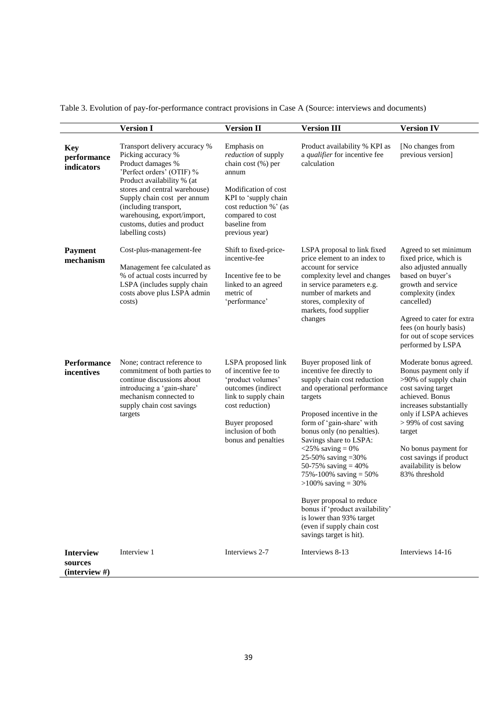|  |  | Table 3. Evolution of pay-for-performance contract provisions in Case A (Source: interviews and documents) |
|--|--|------------------------------------------------------------------------------------------------------------|
|  |  |                                                                                                            |

|                                              | <b>Version I</b>                                                                                                                                                                                                                                                                                               | <b>Version II</b>                                                                                                                                                                                 | <b>Version III</b>                                                                                                                                                                                                                                                                                                                                                                                                                                                                                                            | <b>Version IV</b>                                                                                                                                                                                                                                                                                   |
|----------------------------------------------|----------------------------------------------------------------------------------------------------------------------------------------------------------------------------------------------------------------------------------------------------------------------------------------------------------------|---------------------------------------------------------------------------------------------------------------------------------------------------------------------------------------------------|-------------------------------------------------------------------------------------------------------------------------------------------------------------------------------------------------------------------------------------------------------------------------------------------------------------------------------------------------------------------------------------------------------------------------------------------------------------------------------------------------------------------------------|-----------------------------------------------------------------------------------------------------------------------------------------------------------------------------------------------------------------------------------------------------------------------------------------------------|
| <b>Key</b><br>performance<br>indicators      | Transport delivery accuracy %<br>Picking accuracy %<br>Product damages %<br>'Perfect orders' (OTIF) %<br>Product availability % (at<br>stores and central warehouse)<br>Supply chain cost per annum<br>(including transport,<br>warehousing, export/import,<br>customs, duties and product<br>labelling costs) | Emphasis on<br>reduction of supply<br>chain cost (%) per<br>annum<br>Modification of cost<br>KPI to 'supply chain<br>cost reduction %' (as<br>compared to cost<br>baseline from<br>previous year) | Product availability % KPI as<br>a qualifier for incentive fee<br>calculation                                                                                                                                                                                                                                                                                                                                                                                                                                                 | [No changes from<br>previous version]                                                                                                                                                                                                                                                               |
| <b>Payment</b><br>mechanism                  | Cost-plus-management-fee<br>Management fee calculated as<br>% of actual costs incurred by<br>LSPA (includes supply chain<br>costs above plus LSPA admin<br>costs)                                                                                                                                              | Shift to fixed-price-<br>incentive-fee<br>Incentive fee to be.<br>linked to an agreed<br>metric of<br>'performance'                                                                               | LSPA proposal to link fixed<br>price element to an index to<br>account for service<br>complexity level and changes<br>in service parameters e.g.<br>number of markets and<br>stores, complexity of<br>markets, food supplier<br>changes                                                                                                                                                                                                                                                                                       | Agreed to set minimum<br>fixed price, which is<br>also adjusted annually<br>based on buyer's<br>growth and service<br>complexity (index<br>cancelled)<br>Agreed to cater for extra<br>fees (on hourly basis)<br>for out of scope services<br>performed by LSPA                                      |
| <b>Performance</b><br>incentives             | None; contract reference to<br>commitment of both parties to<br>continue discussions about<br>introducing a 'gain-share'<br>mechanism connected to<br>supply chain cost savings<br>targets                                                                                                                     | LSPA proposed link<br>of incentive fee to<br>'product volumes'<br>outcomes (indirect<br>link to supply chain<br>cost reduction)<br>Buyer proposed<br>inclusion of both<br>bonus and penalties     | Buyer proposed link of<br>incentive fee directly to<br>supply chain cost reduction<br>and operational performance<br>targets<br>Proposed incentive in the<br>form of 'gain-share' with<br>bonus only (no penalties).<br>Savings share to LSPA:<br>$<$ 25% saving = 0%<br>25-50% saving = 30%<br>50-75% saving $=$ 40%<br>75%-100% saving $=$ 50%<br>$>100\%$ saving = 30%<br>Buyer proposal to reduce<br>bonus if 'product availability'<br>is lower than 93% target<br>(even if supply chain cost<br>savings target is hit). | Moderate bonus agreed.<br>Bonus payment only if<br>>90% of supply chain<br>cost saving target<br>achieved. Bonus<br>increases substantially<br>only if LSPA achieves<br>> 99% of cost saving<br>target<br>No bonus payment for<br>cost savings if product<br>availability is below<br>83% threshold |
| <b>Interview</b><br>sources<br>(interview #) | Interview 1                                                                                                                                                                                                                                                                                                    | Interviews 2-7                                                                                                                                                                                    | Interviews 8-13                                                                                                                                                                                                                                                                                                                                                                                                                                                                                                               | Interviews 14-16                                                                                                                                                                                                                                                                                    |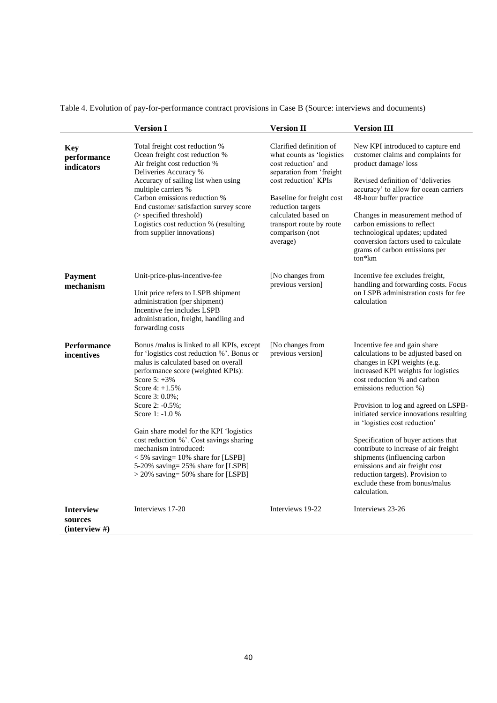| Table 4. Evolution of pay-for-performance contract provisions in Case B (Source: interviews and documents) |  |  |  |  |
|------------------------------------------------------------------------------------------------------------|--|--|--|--|
|                                                                                                            |  |  |  |  |

|                                         | <b>Version I</b>                                                                                                                                                                                                                                                                                                  | <b>Version II</b>                                                                                                                                                                                        | <b>Version III</b>                                                                                                                                                                                                                                                                                                       |  |
|-----------------------------------------|-------------------------------------------------------------------------------------------------------------------------------------------------------------------------------------------------------------------------------------------------------------------------------------------------------------------|----------------------------------------------------------------------------------------------------------------------------------------------------------------------------------------------------------|--------------------------------------------------------------------------------------------------------------------------------------------------------------------------------------------------------------------------------------------------------------------------------------------------------------------------|--|
| <b>Key</b><br>performance<br>indicators | Total freight cost reduction %<br>Ocean freight cost reduction %<br>Air freight cost reduction %<br>Deliveries Accuracy %<br>Accuracy of sailing list when using<br>multiple carriers %<br>Carbon emissions reduction %<br>End customer satisfaction survey score<br>(> specified threshold)                      | Clarified definition of<br>what counts as 'logistics<br>cost reduction' and<br>separation from 'freight<br>cost reduction' KPIs<br>Baseline for freight cost<br>reduction targets<br>calculated based on | New KPI introduced to capture end<br>customer claims and complaints for<br>product damage/loss<br>Revised definition of 'deliveries<br>accuracy' to allow for ocean carriers<br>48-hour buffer practice<br>Changes in measurement method of<br>carbon emissions to reflect                                               |  |
|                                         | Logistics cost reduction % (resulting<br>from supplier innovations)                                                                                                                                                                                                                                               | transport route by route<br>comparison (not<br>average)                                                                                                                                                  | technological updates; updated<br>conversion factors used to calculate<br>grams of carbon emissions per<br>ton*km                                                                                                                                                                                                        |  |
| <b>Payment</b><br>mechanism             | Unit-price-plus-incentive-fee<br>Unit price refers to LSPB shipment<br>administration (per shipment)<br>Incentive fee includes LSPB<br>administration, freight, handling and<br>forwarding costs                                                                                                                  | [No changes from<br>previous version]                                                                                                                                                                    | Incentive fee excludes freight,<br>handling and forwarding costs. Focus<br>on LSPB administration costs for fee<br>calculation                                                                                                                                                                                           |  |
| <b>Performance</b><br>incentives        | Bonus /malus is linked to all KPIs, except<br>for 'logistics cost reduction %'. Bonus or<br>malus is calculated based on overall<br>performance score (weighted KPIs):<br>Score $5: +3\%$<br>Score $4: +1.5\%$<br>Score 3: 0.0%;<br>Score 2: -0.5%;<br>Score 1: -1.0 %<br>Gain share model for the KPI 'logistics | [No changes from<br>previous version]                                                                                                                                                                    | Incentive fee and gain share<br>calculations to be adjusted based on<br>changes in KPI weights (e.g.<br>increased KPI weights for logistics<br>cost reduction % and carbon<br>emissions reduction %)<br>Provision to log and agreed on LSPB-<br>initiated service innovations resulting<br>in 'logistics cost reduction' |  |
|                                         | cost reduction %'. Cost savings sharing<br>mechanism introduced:<br>$<$ 5% saving= 10% share for [LSPB]<br>5-20% saving= 25% share for [LSPB]<br>$>$ 20% saving= 50% share for [LSPB]                                                                                                                             |                                                                                                                                                                                                          | Specification of buyer actions that<br>contribute to increase of air freight<br>shipments (influencing carbon<br>emissions and air freight cost<br>reduction targets). Provision to<br>exclude these from bonus/malus<br>calculation.                                                                                    |  |
| <b>Interview</b><br>sources             | Interviews 17-20                                                                                                                                                                                                                                                                                                  | Interviews 19-22                                                                                                                                                                                         | Interviews 23-26                                                                                                                                                                                                                                                                                                         |  |

**(interview #)**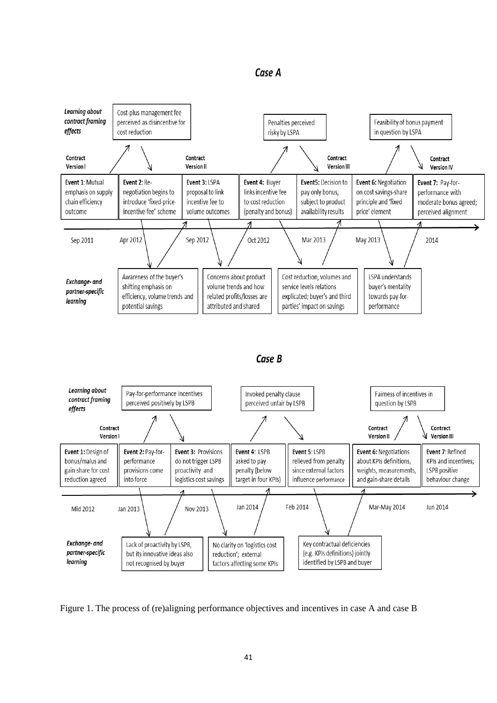



Figure 1. The process of (re)aligning performance objectives and incentives in case A and case B